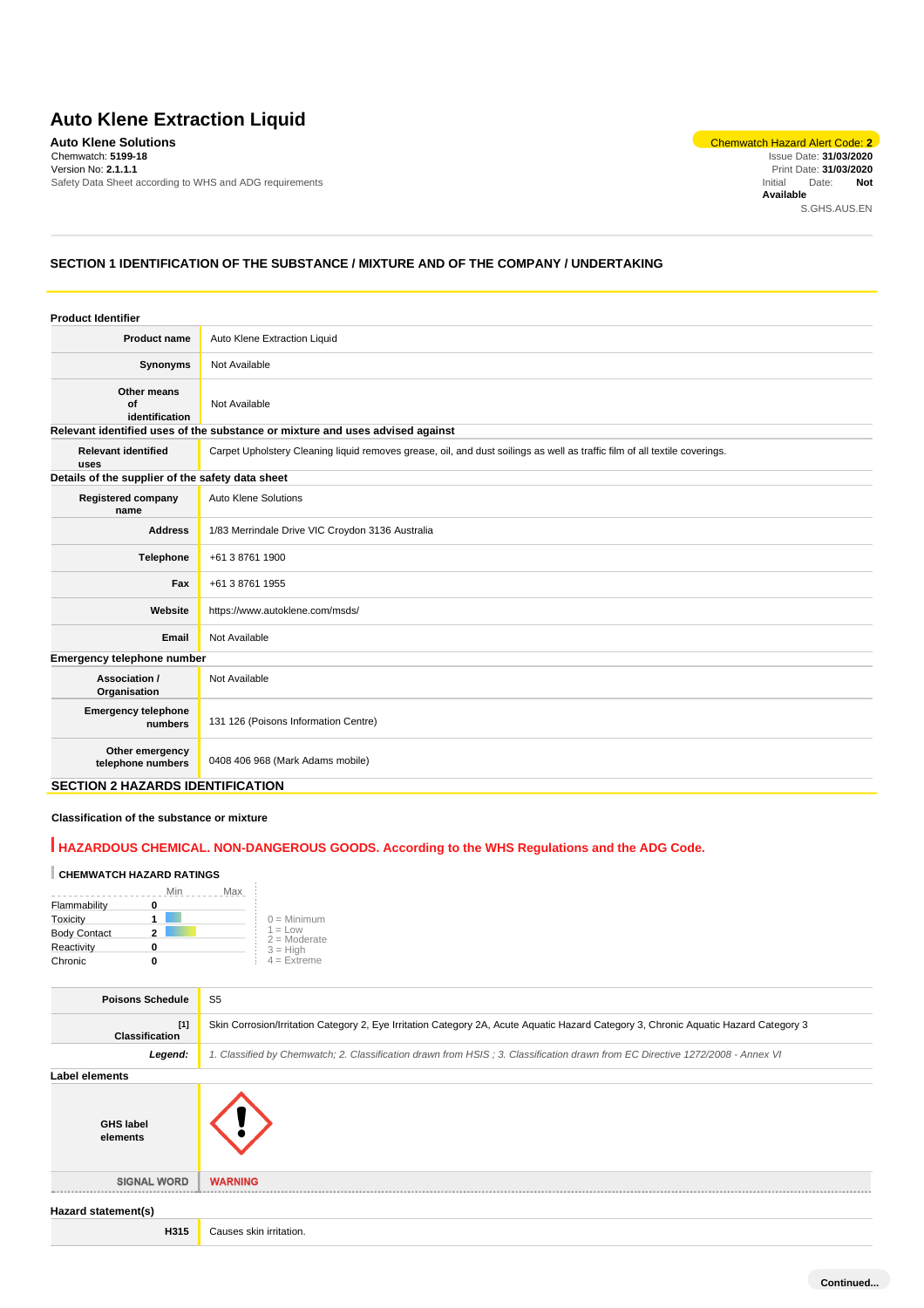# **Auto Klene Extraction Liquid**

**Auto Klene Solutions** Chemwatch Hazard Alert Code: **2** Chemwatch: **5199-18** Version No: **2.1.1.1** Safety Data Sheet according to WHS and ADG requirements

Issue Date: **31/03/2020** Print Date: **31/03/2020** Initial Date: **Not Available** S.GHS.AUS.EN

# **SECTION 1 IDENTIFICATION OF THE SUBSTANCE / MIXTURE AND OF THE COMPANY / UNDERTAKING**

| <b>Product Identifier</b>                        |                                                                                                                            |
|--------------------------------------------------|----------------------------------------------------------------------------------------------------------------------------|
| <b>Product name</b>                              | Auto Klene Extraction Liquid                                                                                               |
| Synonyms                                         | Not Available                                                                                                              |
| Other means<br>of<br>identification              | Not Available                                                                                                              |
|                                                  | Relevant identified uses of the substance or mixture and uses advised against                                              |
| <b>Relevant identified</b><br>uses               | Carpet Upholstery Cleaning liquid removes grease, oil, and dust soilings as well as traffic film of all textile coverings. |
| Details of the supplier of the safety data sheet |                                                                                                                            |
| <b>Registered company</b><br>name                | Auto Klene Solutions                                                                                                       |
| <b>Address</b>                                   | 1/83 Merrindale Drive VIC Croydon 3136 Australia                                                                           |
| Telephone                                        | +61 3 8761 1900                                                                                                            |
| Fax                                              | +61 3 8761 1955                                                                                                            |
| Website                                          | https://www.autoklene.com/msds/                                                                                            |
| Email                                            | Not Available                                                                                                              |
| Emergency telephone number                       |                                                                                                                            |
| Association /<br>Organisation                    | Not Available                                                                                                              |
| <b>Emergency telephone</b><br>numbers            | 131 126 (Poisons Information Centre)                                                                                       |
| Other emergency<br>telephone numbers             | 0408 406 968 (Mark Adams mobile)                                                                                           |
| <b>SECTION 2 HAZARDS IDENTIFICATION</b>          |                                                                                                                            |

**Classification of the substance or mixture**

# **HAZARDOUS CHEMICAL. NON-DANGEROUS GOODS. According to the WHS Regulations and the ADG Code.**

#### **CHEMWATCH HAZARD RATINGS**

|                     | Max<br>Min |                              |
|---------------------|------------|------------------------------|
| Flammability        |            |                              |
| Toxicity            |            | $0 =$ Minimum                |
| <b>Body Contact</b> |            | $1 = 1$ ow<br>$2 =$ Moderate |
| Reactivity          |            | $3 = High$                   |
| Chronic             |            | $4 =$ Extreme                |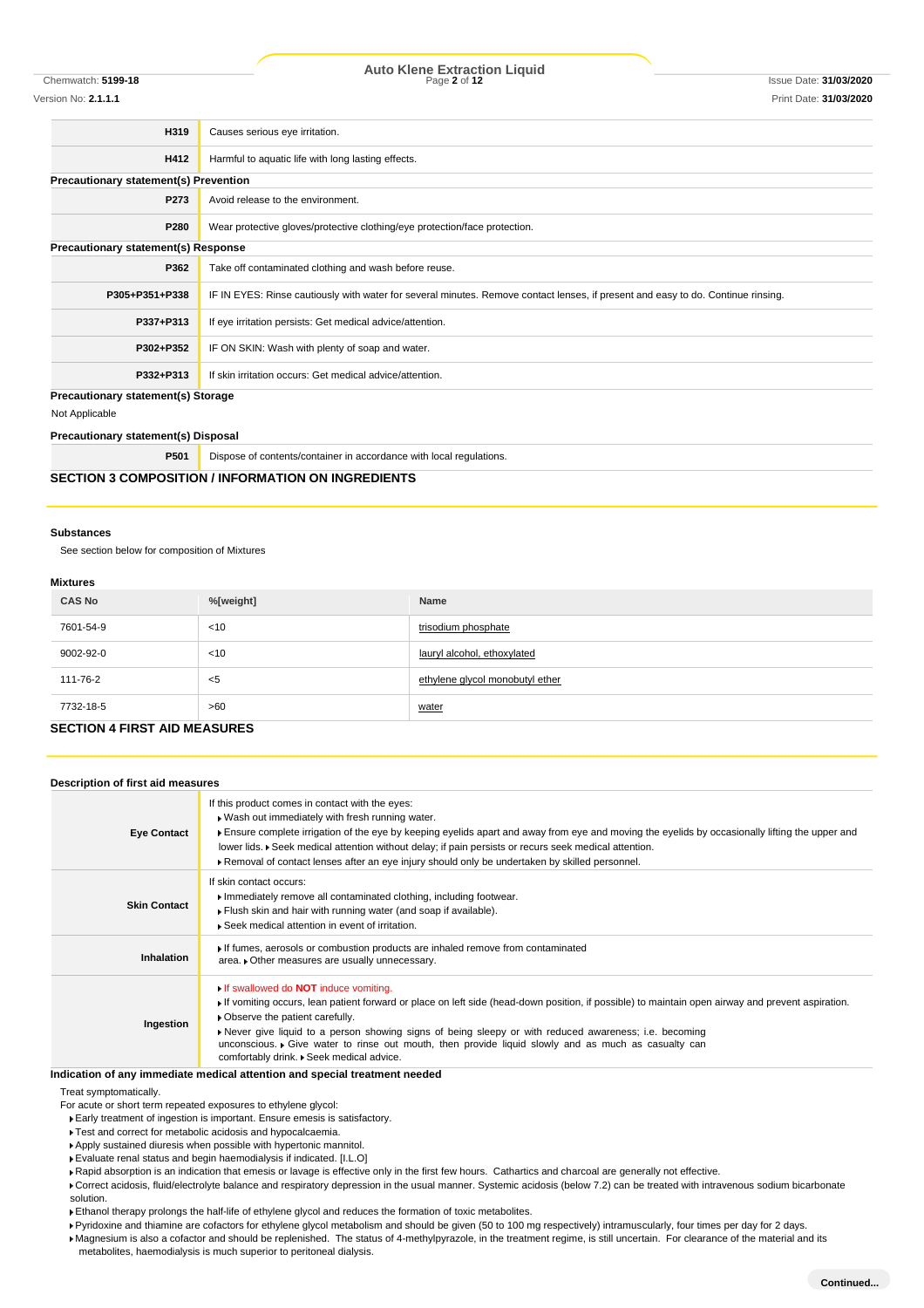# Chemwatch: **5199-18** Page **2** of **12** Issue Date: **31/03/2020 Auto Klene Extraction Liquid**

Version No: **2.1.1.1** Print Date: **31/03/2020**

| H319                                         | Causes serious eye irritation.                                                                                                   |  |
|----------------------------------------------|----------------------------------------------------------------------------------------------------------------------------------|--|
| H412                                         | Harmful to aquatic life with long lasting effects.                                                                               |  |
| <b>Precautionary statement(s) Prevention</b> |                                                                                                                                  |  |
| P273                                         | Avoid release to the environment.                                                                                                |  |
| P280                                         | Wear protective gloves/protective clothing/eye protection/face protection.                                                       |  |
| Precautionary statement(s) Response          |                                                                                                                                  |  |
| P362                                         | Take off contaminated clothing and wash before reuse.                                                                            |  |
| P305+P351+P338                               | IF IN EYES: Rinse cautiously with water for several minutes. Remove contact lenses, if present and easy to do. Continue rinsing. |  |
| P337+P313                                    | If eye irritation persists: Get medical advice/attention.                                                                        |  |
| P302+P352                                    | IF ON SKIN: Wash with plenty of soap and water.                                                                                  |  |
| P332+P313                                    | If skin irritation occurs: Get medical advice/attention.                                                                         |  |
| <b>Precautionary statement(s) Storage</b>    |                                                                                                                                  |  |
| Not Applicable                               |                                                                                                                                  |  |

**Precautionary statement(s) Disposal**

| P501 | Dispose of contents/container in accordance with local regulations. |
|------|---------------------------------------------------------------------|
|      | <b>SECTION 3 COMPOSITION / INFORMATION ON INGREDIENTS</b>           |

#### **Substances**

See section below for composition of Mixtures

#### **Mixtures**

| <b>CAS No</b> | %[weight] | Name                            |
|---------------|-----------|---------------------------------|
| 7601-54-9     | < 10      | trisodium phosphate             |
| 9002-92-0     | < 10      | lauryl alcohol, ethoxylated     |
| 111-76-2      | $<$ 5     | ethylene glycol monobutyl ether |
| 7732-18-5     | >60       | water                           |

## **SECTION 4 FIRST AID MEASURES**

| Description of first aid measures |                                                                                                                                                                                                                                                                                                                                                                                                                                                                                                  |
|-----------------------------------|--------------------------------------------------------------------------------------------------------------------------------------------------------------------------------------------------------------------------------------------------------------------------------------------------------------------------------------------------------------------------------------------------------------------------------------------------------------------------------------------------|
| <b>Eye Contact</b>                | If this product comes in contact with the eyes:<br>. Wash out immediately with fresh running water.<br>Ensure complete irrigation of the eye by keeping eyelids apart and away from eye and moving the eyelids by occasionally lifting the upper and<br>lower lids. ▶ Seek medical attention without delay; if pain persists or recurs seek medical attention.<br>▶ Removal of contact lenses after an eye injury should only be undertaken by skilled personnel.                                |
| <b>Skin Contact</b>               | If skin contact occurs:<br>Immediately remove all contaminated clothing, including footwear.<br>Flush skin and hair with running water (and soap if available).<br>▶ Seek medical attention in event of irritation.                                                                                                                                                                                                                                                                              |
| <b>Inhalation</b>                 | If fumes, aerosols or combustion products are inhaled remove from contaminated<br>area. • Other measures are usually unnecessary.                                                                                                                                                                                                                                                                                                                                                                |
| Ingestion                         | If swallowed do <b>NOT</b> induce vomiting.<br>If vomiting occurs, lean patient forward or place on left side (head-down position, if possible) to maintain open airway and prevent aspiration.<br>• Observe the patient carefully.<br>▶ Never give liquid to a person showing signs of being sleepy or with reduced awareness; i.e. becoming<br>unconscious. • Give water to rinse out mouth, then provide liquid slowly and as much as casualty can<br>comfortably drink. Seek medical advice. |

## **Indication of any immediate medical attention and special treatment needed**

Treat symptomatically.

For acute or short term repeated exposures to ethylene glycol:

- Early treatment of ingestion is important. Ensure emesis is satisfactory.
- Test and correct for metabolic acidosis and hypocalcaemia.
- Apply sustained diuresis when possible with hypertonic mannitol.
- Evaluate renal status and begin haemodialysis if indicated. [I.L.O]
- Rapid absorption is an indication that emesis or lavage is effective only in the first few hours. Cathartics and charcoal are generally not effective.
- ▶ Correct acidosis, fluid/electrolyte balance and respiratory depression in the usual manner. Systemic acidosis (below 7.2) can be treated with intravenous sodium bicarbonate solution.
- Ethanol therapy prolongs the half-life of ethylene glycol and reduces the formation of toxic metabolites.
- Pyridoxine and thiamine are cofactors for ethylene glycol metabolism and should be given (50 to 100 mg respectively) intramuscularly, four times per day for 2 days.

Magnesium is also a cofactor and should be replenished. The status of 4-methylpyrazole, in the treatment regime, is still uncertain. For clearance of the material and its

metabolites, haemodialysis is much superior to peritoneal dialysis.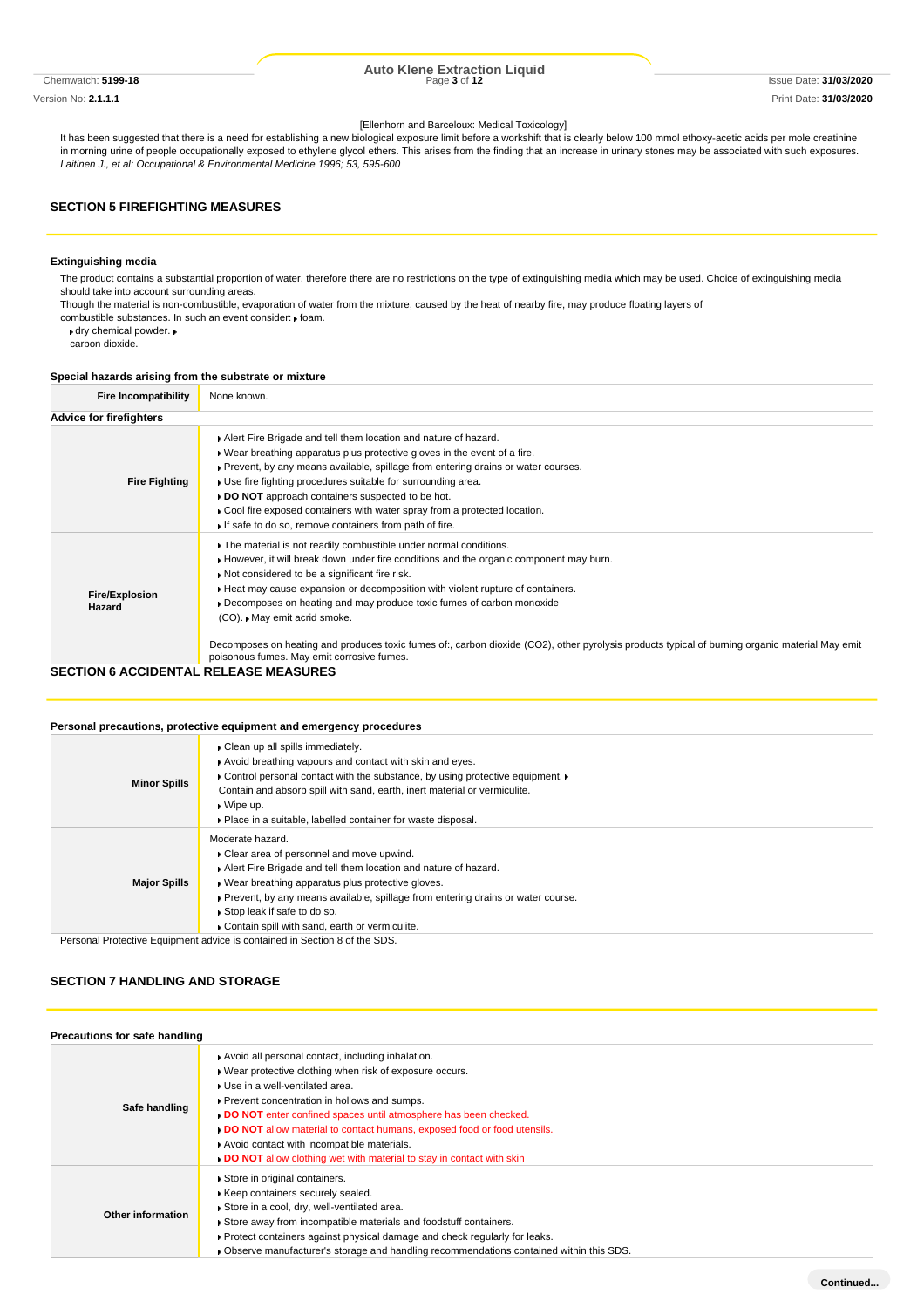Version No: **2.1.1.1** Print Date: **31/03/2020**

# Chemwatch: **5199-18** Page **3** of **12** Issue Date: **31/03/2020 Auto Klene Extraction Liquid**

#### [Ellenhorn and Barceloux: Medical Toxicology]

It has been suggested that there is a need for establishing a new biological exposure limit before a workshift that is clearly below 100 mmol ethoxy-acetic acids per mole creatinine in morning urine of people occupationally exposed to ethylene glycol ethers. This arises from the finding that an increase in urinary stones may be associated with such exposures. *Laitinen J., et al: Occupational & Environmental Medicine 1996; 53, 595-600*

## **SECTION 5 FIREFIGHTING MEASURES**

### **Extinguishing media**

The product contains a substantial proportion of water, therefore there are no restrictions on the type of extinguishing media which may be used. Choice of extinguishing media should take into account surrounding areas.

Though the material is non-combustible, evaporation of water from the mixture, caused by the heat of nearby fire, may produce floating layers of

combustible substances. In such an event consider:  $\blacktriangleright$  foam.

dry chemical powder.

carbon dioxide.

#### **Special hazards arising from the substrate or mixture**

| <b>Fire Incompatibility</b>     | None known.                                                                                                                                                                                                                                                                                                                                                                                                                                                                                                                                                                                           |
|---------------------------------|-------------------------------------------------------------------------------------------------------------------------------------------------------------------------------------------------------------------------------------------------------------------------------------------------------------------------------------------------------------------------------------------------------------------------------------------------------------------------------------------------------------------------------------------------------------------------------------------------------|
| <b>Advice for firefighters</b>  |                                                                                                                                                                                                                                                                                                                                                                                                                                                                                                                                                                                                       |
| <b>Fire Fighting</b>            | Alert Fire Brigade and tell them location and nature of hazard.<br>. Wear breathing apparatus plus protective gloves in the event of a fire.<br>▶ Prevent, by any means available, spillage from entering drains or water courses.<br>► Use fire fighting procedures suitable for surrounding area.<br>DO NOT approach containers suspected to be hot.<br>Cool fire exposed containers with water spray from a protected location.<br>If safe to do so, remove containers from path of fire.                                                                                                          |
| <b>Fire/Explosion</b><br>Hazard | The material is not readily combustible under normal conditions.<br>However, it will break down under fire conditions and the organic component may burn.<br>Not considered to be a significant fire risk.<br>Heat may cause expansion or decomposition with violent rupture of containers.<br>Decomposes on heating and may produce toxic fumes of carbon monoxide<br>(CO). ▶ May emit acrid smoke.<br>Decomposes on heating and produces toxic fumes of:, carbon dioxide (CO2), other pyrolysis products typical of burning organic material May emit<br>poisonous fumes. May emit corrosive fumes. |
| SECTION 6 ACCIDENTAL            | RELEASE MEASURES                                                                                                                                                                                                                                                                                                                                                                                                                                                                                                                                                                                      |

#### **SECTION 6 ACCIDENTAL RELEASE MEASURES**

#### **Personal precautions, protective equipment and emergency procedures**

|                     | Personal precaduons, protective equipment and emergency procedures                                                                                                                                                                                                                                                                                            |
|---------------------|---------------------------------------------------------------------------------------------------------------------------------------------------------------------------------------------------------------------------------------------------------------------------------------------------------------------------------------------------------------|
| <b>Minor Spills</b> | Clean up all spills immediately.<br>Avoid breathing vapours and contact with skin and eyes.<br>• Control personal contact with the substance, by using protective equipment. •<br>Contain and absorb spill with sand, earth, inert material or vermiculite.<br>$\bullet$ Wipe up.<br>• Place in a suitable, labelled container for waste disposal.            |
| <b>Major Spills</b> | Moderate hazard.<br>• Clear area of personnel and move upwind.<br>Alert Fire Brigade and tell them location and nature of hazard.<br>► Wear breathing apparatus plus protective gloves.<br>▶ Prevent, by any means available, spillage from entering drains or water course.<br>Stop leak if safe to do so.<br>Contain spill with sand, earth or vermiculite. |
|                     | Personal Protective Equipment advice is contained in Section 8 of the SDS.                                                                                                                                                                                                                                                                                    |

### **SECTION 7 HANDLING AND STORAGE**

| Precautions for safe handling |                                                                                                                                                                                                                                                                                                                                                                                                                                                                        |  |  |  |  |
|-------------------------------|------------------------------------------------------------------------------------------------------------------------------------------------------------------------------------------------------------------------------------------------------------------------------------------------------------------------------------------------------------------------------------------------------------------------------------------------------------------------|--|--|--|--|
| Safe handling                 | Avoid all personal contact, including inhalation.<br>▶ Wear protective clothing when risk of exposure occurs.<br>▶ Use in a well-ventilated area.<br>▶ Prevent concentration in hollows and sumps.<br>DO NOT enter confined spaces until atmosphere has been checked.<br>DO NOT allow material to contact humans, exposed food or food utensils.<br>Avoid contact with incompatible materials.<br>DO NOT allow clothing wet with material to stay in contact with skin |  |  |  |  |
| Other information             | Store in original containers.<br>▶ Keep containers securely sealed.<br>Store in a cool, dry, well-ventilated area.<br>Store away from incompatible materials and foodstuff containers.<br>► Protect containers against physical damage and check regularly for leaks.<br>. Observe manufacturer's storage and handling recommendations contained within this SDS.                                                                                                      |  |  |  |  |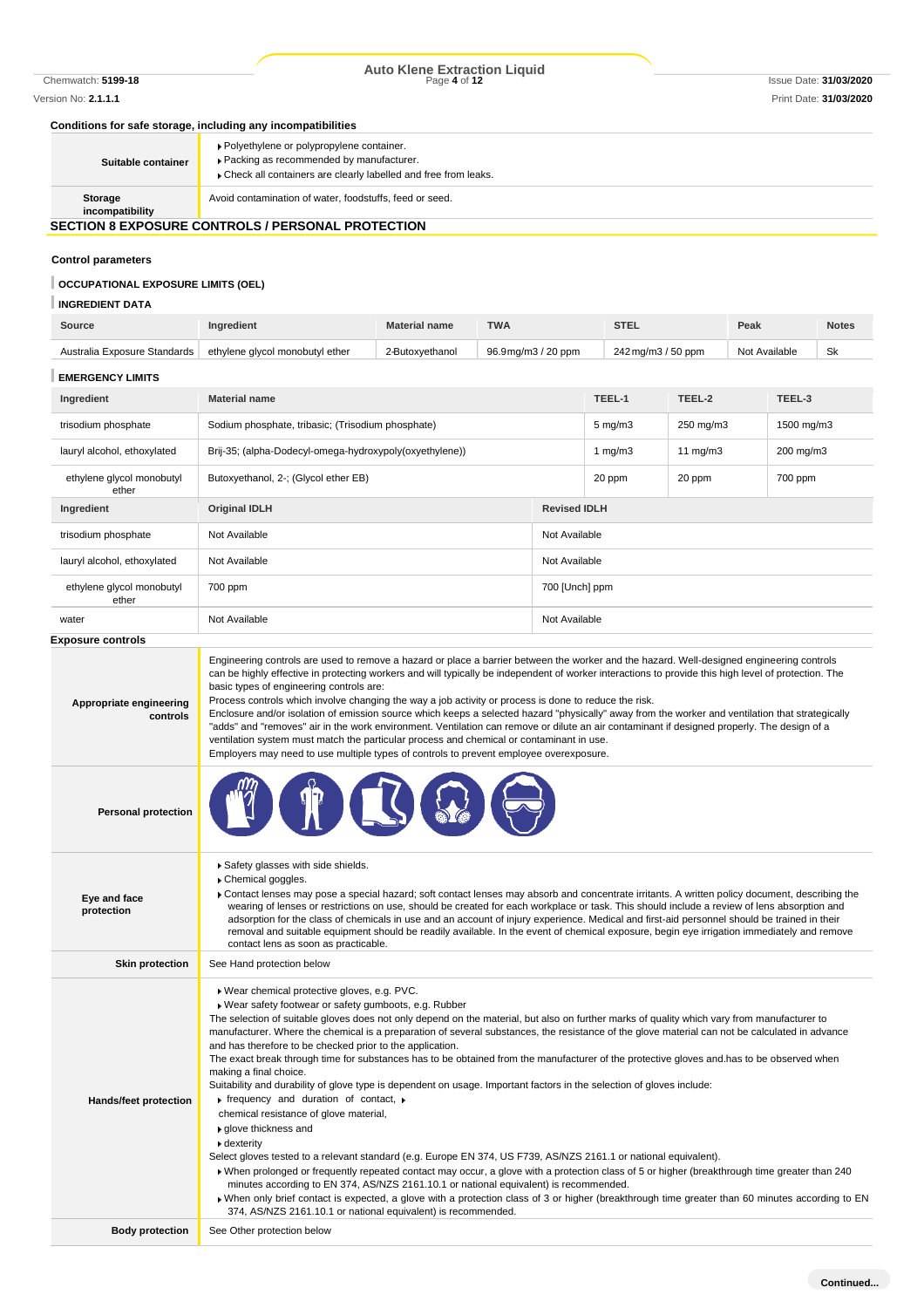# Chemwatch: **5199-18** Page **4** of **12** Issue Date: **31/03/2020 Auto Klene Extraction Liquid**

#### **Conditions for safe storage, including any incompatibilities**

| Suitable container                                       | ▶ Polyethylene or polypropylene container.<br>Packing as recommended by manufacturer.<br>Check all containers are clearly labelled and free from leaks. |  |
|----------------------------------------------------------|---------------------------------------------------------------------------------------------------------------------------------------------------------|--|
|                                                          |                                                                                                                                                         |  |
| Storage<br>incompatibility                               | Avoid contamination of water, foodstuffs, feed or seed.                                                                                                 |  |
| <b>SECTION 8 EXPOSURE CONTROLS / PERSONAL PROTECTION</b> |                                                                                                                                                         |  |

# **Control parameters**

# **OCCUPATIONAL EXPOSURE LIMITS (OEL)**

# **INGREDIENT DATA**

| <b>Source</b>                | naredient                       | <b>Material name</b> | <b>TWA</b>         | <b>STEL</b>        | Peak          | <b>Notes</b> |
|------------------------------|---------------------------------|----------------------|--------------------|--------------------|---------------|--------------|
| Australia Exposure Standards | ethylene glycol monobutyl ether | 2-Butoxvethanol      | 96.9mg/m3 / 20 ppm | 242 mg/m3 / 50 ppm | Not Available | Sk           |

# **EMERGENCY LIMITS**

| Ingredient                         | <b>Material name</b>                                    |                     | TEEL-1             | TEEL-2     | TEEL-3     |
|------------------------------------|---------------------------------------------------------|---------------------|--------------------|------------|------------|
| trisodium phosphate                | Sodium phosphate, tribasic; (Trisodium phosphate)       |                     | $5 \text{ mg/m}$ 3 | 250 mg/m3  | 1500 mg/m3 |
| lauryl alcohol, ethoxylated        | Brij-35; (alpha-Dodecyl-omega-hydroxypoly(oxyethylene)) |                     | 1 $mq/m3$          | 11 $mq/m3$ | 200 mg/m3  |
| ethylene glycol monobutyl<br>ether | Butoxyethanol, 2-; (Glycol ether EB)                    | 20 ppm              | 20 ppm             | 700 ppm    |            |
| Ingredient                         | <b>Original IDLH</b>                                    | <b>Revised IDLH</b> |                    |            |            |
| trisodium phosphate                | Not Available                                           | Not Available       |                    |            |            |
| lauryl alcohol, ethoxylated        | Not Available                                           | Not Available       |                    |            |            |
| ethylene glycol monobutyl<br>ether | 700 ppm                                                 | 700 [Unch] ppm      |                    |            |            |
| water                              | Not Available                                           | Not Available       |                    |            |            |
| <b>Exposure controls</b>           |                                                         |                     |                    |            |            |

| Appropriate engineering<br>controls | Engineering controls are used to remove a hazard or place a barrier between the worker and the hazard. Well-designed engineering controls<br>can be highly effective in protecting workers and will typically be independent of worker interactions to provide this high level of protection. The<br>basic types of engineering controls are:<br>Process controls which involve changing the way a job activity or process is done to reduce the risk.<br>Enclosure and/or isolation of emission source which keeps a selected hazard "physically" away from the worker and ventilation that strategically<br>"adds" and "removes" air in the work environment. Ventilation can remove or dilute an air contaminant if designed properly. The design of a<br>ventilation system must match the particular process and chemical or contaminant in use.<br>Employers may need to use multiple types of controls to prevent employee overexposure.                                                                                                                                                                                                                                                                                                                                                                                                                                                                                                                                                                   |
|-------------------------------------|-------------------------------------------------------------------------------------------------------------------------------------------------------------------------------------------------------------------------------------------------------------------------------------------------------------------------------------------------------------------------------------------------------------------------------------------------------------------------------------------------------------------------------------------------------------------------------------------------------------------------------------------------------------------------------------------------------------------------------------------------------------------------------------------------------------------------------------------------------------------------------------------------------------------------------------------------------------------------------------------------------------------------------------------------------------------------------------------------------------------------------------------------------------------------------------------------------------------------------------------------------------------------------------------------------------------------------------------------------------------------------------------------------------------------------------------------------------------------------------------------------------------|
| <b>Personal protection</b>          |                                                                                                                                                                                                                                                                                                                                                                                                                                                                                                                                                                                                                                                                                                                                                                                                                                                                                                                                                                                                                                                                                                                                                                                                                                                                                                                                                                                                                                                                                                                   |
| Eye and face<br>protection          | Safety glasses with side shields.<br>Chemical goggles.<br>► Contact lenses may pose a special hazard; soft contact lenses may absorb and concentrate irritants. A written policy document, describing the<br>wearing of lenses or restrictions on use, should be created for each workplace or task. This should include a review of lens absorption and<br>adsorption for the class of chemicals in use and an account of injury experience. Medical and first-aid personnel should be trained in their<br>removal and suitable equipment should be readily available. In the event of chemical exposure, begin eye irrigation immediately and remove<br>contact lens as soon as practicable.                                                                                                                                                                                                                                                                                                                                                                                                                                                                                                                                                                                                                                                                                                                                                                                                                    |
| <b>Skin protection</b>              | See Hand protection below                                                                                                                                                                                                                                                                                                                                                                                                                                                                                                                                                                                                                                                                                                                                                                                                                                                                                                                                                                                                                                                                                                                                                                                                                                                                                                                                                                                                                                                                                         |
| Hands/feet protection               | » Wear chemical protective gloves, e.g. PVC.<br>▶ Wear safety footwear or safety gumboots, e.g. Rubber<br>The selection of suitable gloves does not only depend on the material, but also on further marks of quality which vary from manufacturer to<br>manufacturer. Where the chemical is a preparation of several substances, the resistance of the glove material can not be calculated in advance<br>and has therefore to be checked prior to the application.<br>The exact break through time for substances has to be obtained from the manufacturer of the protective gloves and has to be observed when<br>making a final choice.<br>Suitability and durability of glove type is dependent on usage. Important factors in the selection of gloves include:<br>$\triangleright$ frequency and duration of contact, $\triangleright$<br>chemical resistance of glove material,<br>▶ glove thickness and<br>▶ dexterity<br>Select gloves tested to a relevant standard (e.g. Europe EN 374, US F739, AS/NZS 2161.1 or national equivalent).<br>• When prolonged or frequently repeated contact may occur, a glove with a protection class of 5 or higher (breakthrough time greater than 240<br>minutes according to EN 374, AS/NZS 2161.10.1 or national equivalent) is recommended.<br>▶ When only brief contact is expected, a glove with a protection class of 3 or higher (breakthrough time greater than 60 minutes according to EN<br>374, AS/NZS 2161.10.1 or national equivalent) is recommended. |
| <b>Body protection</b>              | See Other protection below                                                                                                                                                                                                                                                                                                                                                                                                                                                                                                                                                                                                                                                                                                                                                                                                                                                                                                                                                                                                                                                                                                                                                                                                                                                                                                                                                                                                                                                                                        |
|                                     |                                                                                                                                                                                                                                                                                                                                                                                                                                                                                                                                                                                                                                                                                                                                                                                                                                                                                                                                                                                                                                                                                                                                                                                                                                                                                                                                                                                                                                                                                                                   |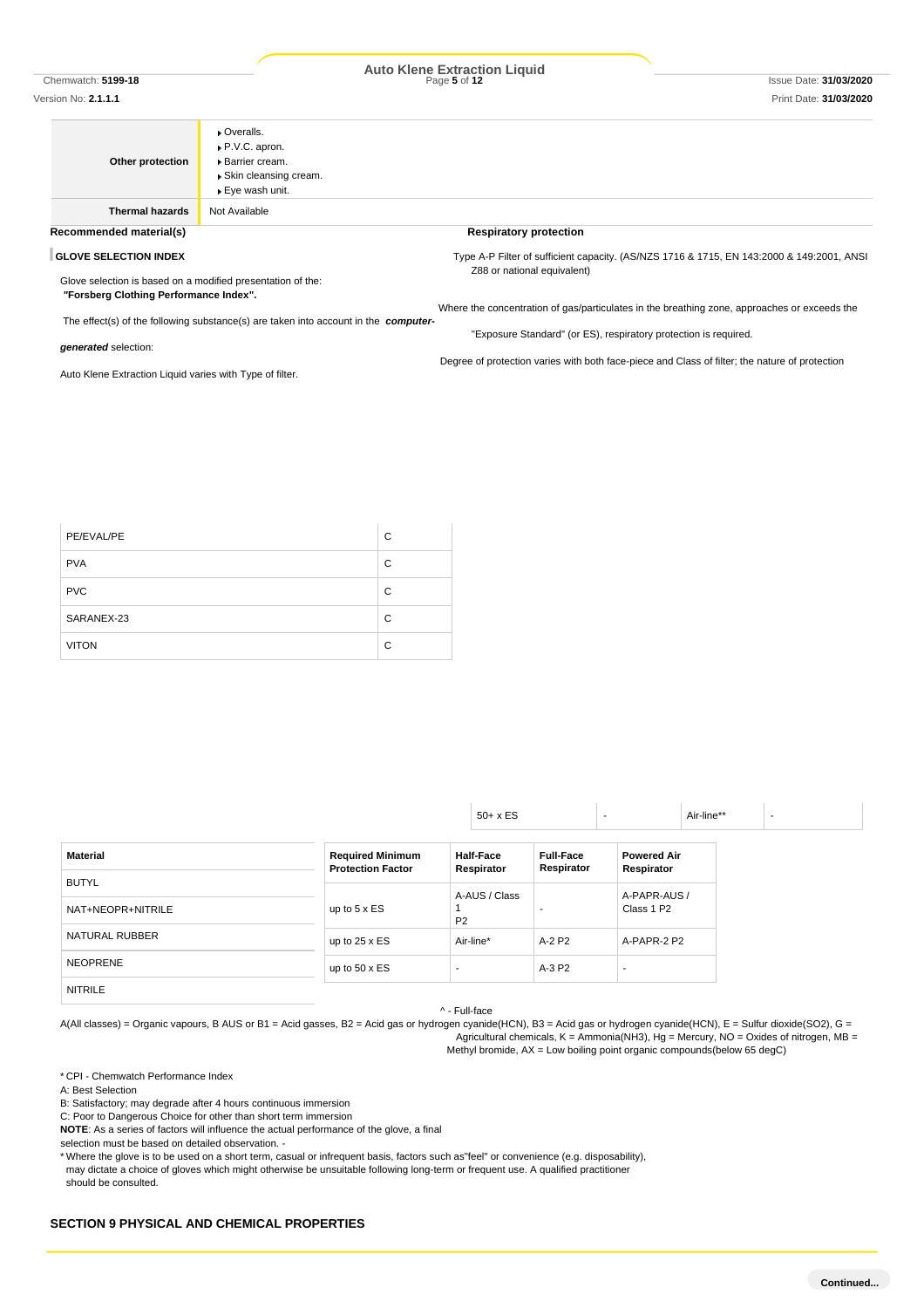#### Version No: **2.1.1.1** Print Date: **31/03/2020**

# Chemwatch: **5199-18** Page **5** of **12** Issue Date: **31/03/2020 Auto Klene Extraction Liquid**

|                                                             | ▶ Overalls.                                                                                |                                                                                                |
|-------------------------------------------------------------|--------------------------------------------------------------------------------------------|------------------------------------------------------------------------------------------------|
|                                                             | ▶ P.V.C. apron.                                                                            |                                                                                                |
| Other protection                                            | ▶ Barrier cream.                                                                           |                                                                                                |
|                                                             | ▶ Skin cleansing cream.                                                                    |                                                                                                |
|                                                             | ▶ Eye wash unit.                                                                           |                                                                                                |
| <b>Thermal hazards</b>                                      | Not Available                                                                              |                                                                                                |
| Recommended material(s)                                     |                                                                                            | <b>Respiratory protection</b>                                                                  |
| <b>GLOVE SELECTION INDEX</b>                                |                                                                                            | Type A-P Filter of sufficient capacity. (AS/NZS 1716 & 1715, EN 143:2000 & 149:2001, ANSI      |
| Glove selection is based on a modified presentation of the: |                                                                                            | Z88 or national equivalent)                                                                    |
| "Forsberg Clothing Performance Index".                      |                                                                                            |                                                                                                |
|                                                             |                                                                                            | Where the concentration of gas/particulates in the breathing zone, approaches or exceeds the   |
|                                                             | The effect(s) of the following substance(s) are taken into account in the <b>computer-</b> |                                                                                                |
| generated selection:                                        |                                                                                            | "Exposure Standard" (or ES), respiratory protection is required.                               |
|                                                             |                                                                                            | Degree of protection varies with both face-piece and Class of filter; the nature of protection |
| Auto Klene Extraction Liquid varies with Type of filter.    |                                                                                            |                                                                                                |

| PE/EVAL/PE   | C |
|--------------|---|
| <b>PVA</b>   | C |
| <b>PVC</b>   | C |
| SARANEX-23   | C |
| <b>VITON</b> | C |

|                   |                                                     | $50+ x ES$                     |                                |                                  | Air-line** |
|-------------------|-----------------------------------------------------|--------------------------------|--------------------------------|----------------------------------|------------|
| <b>Material</b>   | <b>Required Minimum</b><br><b>Protection Factor</b> | <b>Half-Face</b><br>Respirator | <b>Full-Face</b><br>Respirator | <b>Powered Air</b><br>Respirator |            |
| <b>BUTYL</b>      |                                                     | A-AUS / Class                  |                                | A-PAPR-AUS /                     |            |
| NAT+NEOPR+NITRILE | up to $5 \times ES$                                 | P <sub>2</sub>                 |                                | Class 1 P2                       |            |
| NATURAL RUBBER    | up to $25 \times ES$                                | Air-line*                      | A-2 P2                         | A-PAPR-2 P2                      |            |
| <b>NEOPRENE</b>   | up to $50 \times ES$                                |                                | A-3 P2                         |                                  |            |
| <b>NITRILE</b>    |                                                     |                                |                                |                                  |            |

^ - Full-face

A(All classes) = Organic vapours, B AUS or B1 = Acid gasses, B2 = Acid gas or hydrogen cyanide(HCN), B3 = Acid gas or hydrogen cyanide(HCN), E = Sulfur dioxide(SO2), G = Agricultural chemicals,  $K =$  Ammonia(NH3),  $Hg =$  Mercury, NO = Oxides of nitrogen, MB = Methyl bromide, AX = Low boiling point organic compounds(below 65 degC)

\* CPI - Chemwatch Performance Index

A: Best Selection

B: Satisfactory; may degrade after 4 hours continuous immersion

C: Poor to Dangerous Choice for other than short term immersion

**NOTE**: As a series of factors will influence the actual performance of the glove, a final

selection must be based on detailed observation. -

\* Where the glove is to be used on a short term, casual or infrequent basis, factors such as"feel" or convenience (e.g. disposability), may dictate a choice of gloves which might otherwise be unsuitable following long-term or frequent use. A qualified practitioner

should be consulted.

## **SECTION 9 PHYSICAL AND CHEMICAL PROPERTIES**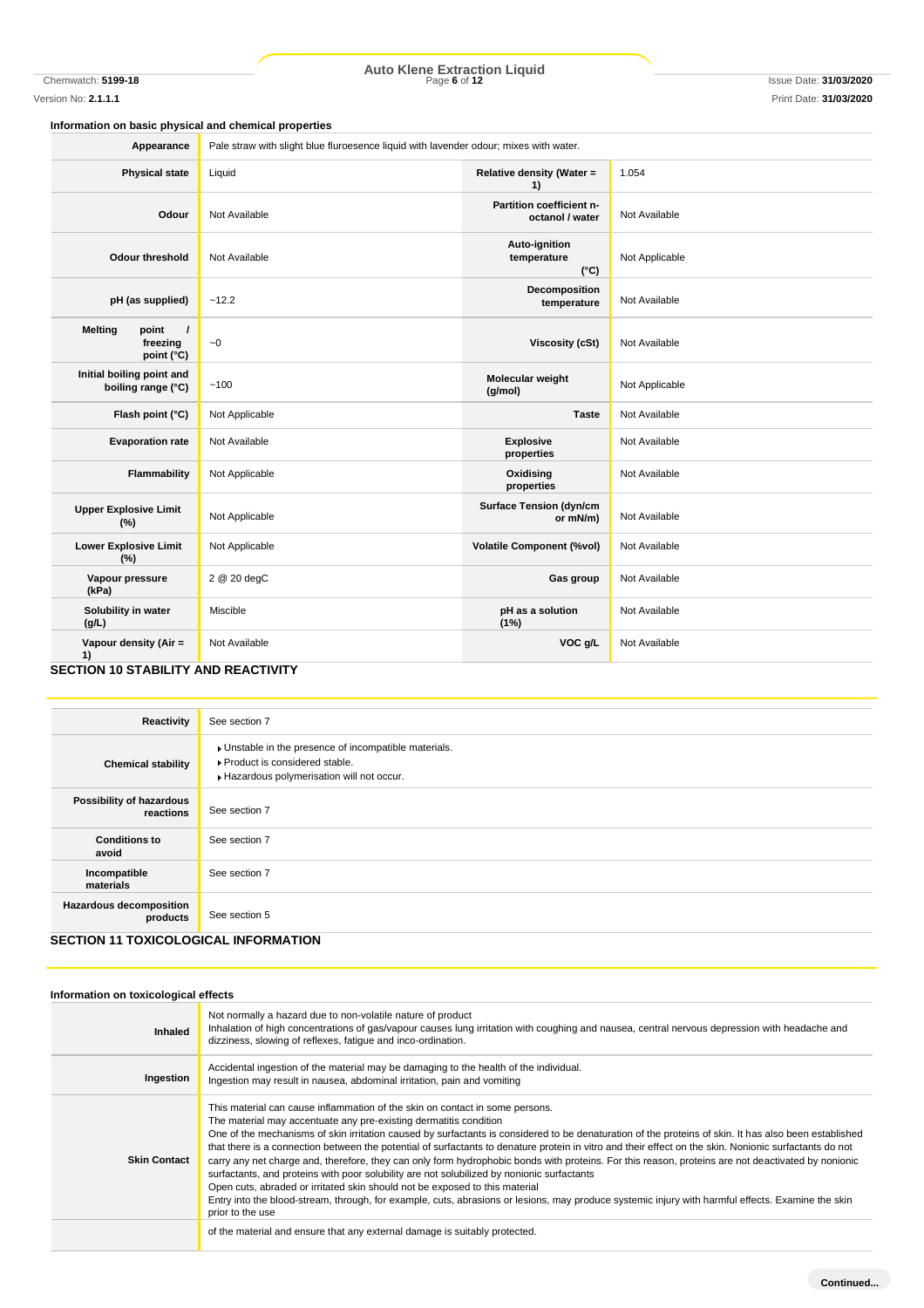Chemwatch: **5199-18** Page **6** of **12** Issue Date: **31/03/2020 Auto Klene Extraction Liquid**

## **Information on basic physical and chemical properties**

| Pale straw with slight blue fluroesence liquid with lavender odour; mixes with water. |                                               |                |  |  |
|---------------------------------------------------------------------------------------|-----------------------------------------------|----------------|--|--|
| Liquid                                                                                | Relative density (Water =<br>1)               | 1.054          |  |  |
| Not Available                                                                         | Partition coefficient n-<br>octanol / water   | Not Available  |  |  |
| Not Available                                                                         | Auto-ignition<br>temperature<br>$(^{\circ}C)$ | Not Applicable |  |  |
| ~12.2                                                                                 | Decomposition<br>temperature                  | Not Available  |  |  |
| $\sim\!0$                                                                             | <b>Viscosity (cSt)</b>                        | Not Available  |  |  |
| ~100                                                                                  | Molecular weight<br>(g/mol)                   | Not Applicable |  |  |
| Not Applicable                                                                        | <b>Taste</b>                                  | Not Available  |  |  |
| Not Available                                                                         | <b>Explosive</b><br>properties                | Not Available  |  |  |
| Not Applicable                                                                        | Oxidising<br>properties                       | Not Available  |  |  |
| Not Applicable                                                                        | <b>Surface Tension (dyn/cm</b><br>or mN/m)    | Not Available  |  |  |
| Not Applicable                                                                        | <b>Volatile Component (%vol)</b>              | Not Available  |  |  |
| 2 @ 20 degC                                                                           | Gas group                                     | Not Available  |  |  |
| Miscible                                                                              | pH as a solution<br>(1%)                      | Not Available  |  |  |
| Not Available                                                                         | VOC g/L                                       | Not Available  |  |  |
|                                                                                       | SECTION 10 STARII ITY AND PEACTIVITY          |                |  |  |

#### **SECTION 10 STABILITY AND REACTIVITY**

| Reactivity                                                                          | See section 7                                                                                                                      |
|-------------------------------------------------------------------------------------|------------------------------------------------------------------------------------------------------------------------------------|
| <b>Chemical stability</b>                                                           | Unstable in the presence of incompatible materials.<br>▶ Product is considered stable.<br>Hazardous polymerisation will not occur. |
| Possibility of hazardous<br>reactions                                               | See section 7                                                                                                                      |
| <b>Conditions to</b><br>avoid                                                       | See section 7                                                                                                                      |
| Incompatible<br>materials                                                           | See section 7                                                                                                                      |
| <b>Hazardous decomposition</b><br>products<br>OFOTION 44 TOVIOOL OOIOAL INFODUATION | See section 5                                                                                                                      |

# **SECTION 11 TOXICOLOGICAL INFORMATION**

# **Information on toxicological effects**

| Inhaled             | Not normally a hazard due to non-volatile nature of product<br>Inhalation of high concentrations of gas/vapour causes lung irritation with coughing and nausea, central nervous depression with headache and<br>dizziness, slowing of reflexes, fatique and inco-ordination.                                                                                                                                                                                                                                                                                                                                                                                                                                                                                                                                                                                                                                                                                                                                                                                   |
|---------------------|----------------------------------------------------------------------------------------------------------------------------------------------------------------------------------------------------------------------------------------------------------------------------------------------------------------------------------------------------------------------------------------------------------------------------------------------------------------------------------------------------------------------------------------------------------------------------------------------------------------------------------------------------------------------------------------------------------------------------------------------------------------------------------------------------------------------------------------------------------------------------------------------------------------------------------------------------------------------------------------------------------------------------------------------------------------|
| Ingestion           | Accidental ingestion of the material may be damaging to the health of the individual.<br>Ingestion may result in nausea, abdominal irritation, pain and vomiting                                                                                                                                                                                                                                                                                                                                                                                                                                                                                                                                                                                                                                                                                                                                                                                                                                                                                               |
| <b>Skin Contact</b> | This material can cause inflammation of the skin on contact in some persons.<br>The material may accentuate any pre-existing dermatitis condition<br>One of the mechanisms of skin irritation caused by surfactants is considered to be denaturation of the proteins of skin. It has also been established<br>that there is a connection between the potential of surfactants to denature protein in vitro and their effect on the skin. Nonionic surfactants do not<br>carry any net charge and, therefore, they can only form hydrophobic bonds with proteins. For this reason, proteins are not deactivated by nonionic<br>surfactants, and proteins with poor solubility are not solubilized by nonionic surfactants<br>Open cuts, abraded or irritated skin should not be exposed to this material<br>Entry into the blood-stream, through, for example, cuts, abrasions or lesions, may produce systemic injury with harmful effects. Examine the skin<br>prior to the use<br>of the material and ensure that any external damage is suitably protected. |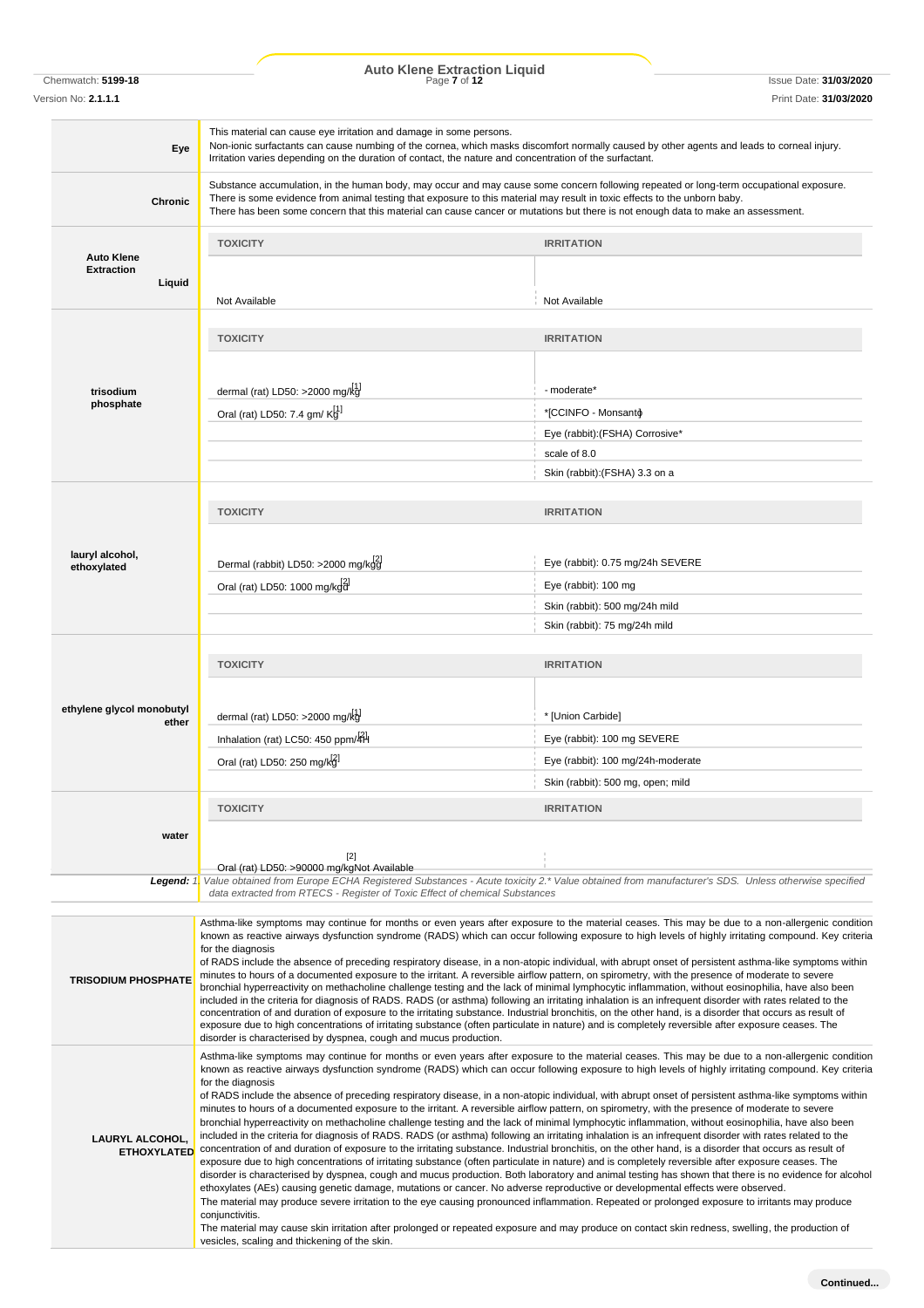Chemwatch: **5199-18** Page **7** of **12** Issue Date: **31/03/2020 Auto Klene Extraction Liquid**

Version No: **2.1.1.1** Print Date: **31/03/2020**

| Eye                                          | This material can cause eye irritation and damage in some persons.<br>Non-ionic surfactants can cause numbing of the cornea, which masks discomfort normally caused by other agents and leads to corneal injury.<br>Irritation varies depending on the duration of contact, the nature and concentration of the surfactant.                                                                                                                                                                                                                                                                                                                                                                                                                                                                                                                                                                                                                                                                                                                                                                                                                                                                                                                                                                                                                                                                                                                                                                                                                                                                                                                                                                                                                                                                                                                                                                                                                                                                                       |                                                                                                                                               |  |  |  |  |
|----------------------------------------------|-------------------------------------------------------------------------------------------------------------------------------------------------------------------------------------------------------------------------------------------------------------------------------------------------------------------------------------------------------------------------------------------------------------------------------------------------------------------------------------------------------------------------------------------------------------------------------------------------------------------------------------------------------------------------------------------------------------------------------------------------------------------------------------------------------------------------------------------------------------------------------------------------------------------------------------------------------------------------------------------------------------------------------------------------------------------------------------------------------------------------------------------------------------------------------------------------------------------------------------------------------------------------------------------------------------------------------------------------------------------------------------------------------------------------------------------------------------------------------------------------------------------------------------------------------------------------------------------------------------------------------------------------------------------------------------------------------------------------------------------------------------------------------------------------------------------------------------------------------------------------------------------------------------------------------------------------------------------------------------------------------------------|-----------------------------------------------------------------------------------------------------------------------------------------------|--|--|--|--|
| <b>Chronic</b>                               | Substance accumulation, in the human body, may occur and may cause some concern following repeated or long-term occupational exposure.<br>There is some evidence from animal testing that exposure to this material may result in toxic effects to the unborn baby.<br>There has been some concern that this material can cause cancer or mutations but there is not enough data to make an assessment.                                                                                                                                                                                                                                                                                                                                                                                                                                                                                                                                                                                                                                                                                                                                                                                                                                                                                                                                                                                                                                                                                                                                                                                                                                                                                                                                                                                                                                                                                                                                                                                                           |                                                                                                                                               |  |  |  |  |
|                                              | <b>TOXICITY</b>                                                                                                                                                                                                                                                                                                                                                                                                                                                                                                                                                                                                                                                                                                                                                                                                                                                                                                                                                                                                                                                                                                                                                                                                                                                                                                                                                                                                                                                                                                                                                                                                                                                                                                                                                                                                                                                                                                                                                                                                   | <b>IRRITATION</b>                                                                                                                             |  |  |  |  |
| <b>Auto Klene</b>                            |                                                                                                                                                                                                                                                                                                                                                                                                                                                                                                                                                                                                                                                                                                                                                                                                                                                                                                                                                                                                                                                                                                                                                                                                                                                                                                                                                                                                                                                                                                                                                                                                                                                                                                                                                                                                                                                                                                                                                                                                                   |                                                                                                                                               |  |  |  |  |
| <b>Extraction</b><br>Liquid                  | Not Available                                                                                                                                                                                                                                                                                                                                                                                                                                                                                                                                                                                                                                                                                                                                                                                                                                                                                                                                                                                                                                                                                                                                                                                                                                                                                                                                                                                                                                                                                                                                                                                                                                                                                                                                                                                                                                                                                                                                                                                                     | Not Available                                                                                                                                 |  |  |  |  |
|                                              | <b>TOXICITY</b>                                                                                                                                                                                                                                                                                                                                                                                                                                                                                                                                                                                                                                                                                                                                                                                                                                                                                                                                                                                                                                                                                                                                                                                                                                                                                                                                                                                                                                                                                                                                                                                                                                                                                                                                                                                                                                                                                                                                                                                                   | <b>IRRITATION</b>                                                                                                                             |  |  |  |  |
| trisodium                                    | dermal (rat) LD50: >2000 mg/k $\frac{11}{2}$                                                                                                                                                                                                                                                                                                                                                                                                                                                                                                                                                                                                                                                                                                                                                                                                                                                                                                                                                                                                                                                                                                                                                                                                                                                                                                                                                                                                                                                                                                                                                                                                                                                                                                                                                                                                                                                                                                                                                                      | - moderate*                                                                                                                                   |  |  |  |  |
| phosphate                                    | Oral (rat) LD50: 7.4 gm/ $K_9^1$                                                                                                                                                                                                                                                                                                                                                                                                                                                                                                                                                                                                                                                                                                                                                                                                                                                                                                                                                                                                                                                                                                                                                                                                                                                                                                                                                                                                                                                                                                                                                                                                                                                                                                                                                                                                                                                                                                                                                                                  | *[CCINFO - Monsanto]*                                                                                                                         |  |  |  |  |
|                                              |                                                                                                                                                                                                                                                                                                                                                                                                                                                                                                                                                                                                                                                                                                                                                                                                                                                                                                                                                                                                                                                                                                                                                                                                                                                                                                                                                                                                                                                                                                                                                                                                                                                                                                                                                                                                                                                                                                                                                                                                                   | Eye (rabbit): (FSHA) Corrosive*                                                                                                               |  |  |  |  |
|                                              |                                                                                                                                                                                                                                                                                                                                                                                                                                                                                                                                                                                                                                                                                                                                                                                                                                                                                                                                                                                                                                                                                                                                                                                                                                                                                                                                                                                                                                                                                                                                                                                                                                                                                                                                                                                                                                                                                                                                                                                                                   | scale of 8.0                                                                                                                                  |  |  |  |  |
|                                              |                                                                                                                                                                                                                                                                                                                                                                                                                                                                                                                                                                                                                                                                                                                                                                                                                                                                                                                                                                                                                                                                                                                                                                                                                                                                                                                                                                                                                                                                                                                                                                                                                                                                                                                                                                                                                                                                                                                                                                                                                   | Skin (rabbit): (FSHA) 3.3 on a                                                                                                                |  |  |  |  |
|                                              |                                                                                                                                                                                                                                                                                                                                                                                                                                                                                                                                                                                                                                                                                                                                                                                                                                                                                                                                                                                                                                                                                                                                                                                                                                                                                                                                                                                                                                                                                                                                                                                                                                                                                                                                                                                                                                                                                                                                                                                                                   |                                                                                                                                               |  |  |  |  |
|                                              | <b>TOXICITY</b>                                                                                                                                                                                                                                                                                                                                                                                                                                                                                                                                                                                                                                                                                                                                                                                                                                                                                                                                                                                                                                                                                                                                                                                                                                                                                                                                                                                                                                                                                                                                                                                                                                                                                                                                                                                                                                                                                                                                                                                                   | <b>IRRITATION</b>                                                                                                                             |  |  |  |  |
| lauryl alcohol,<br>ethoxylated               | Dermal (rabbit) LD50: >2000 mg/kgg                                                                                                                                                                                                                                                                                                                                                                                                                                                                                                                                                                                                                                                                                                                                                                                                                                                                                                                                                                                                                                                                                                                                                                                                                                                                                                                                                                                                                                                                                                                                                                                                                                                                                                                                                                                                                                                                                                                                                                                | Eye (rabbit): 0.75 mg/24h SEVERE                                                                                                              |  |  |  |  |
|                                              | Oral (rat) LD50: 1000 mg/kgd                                                                                                                                                                                                                                                                                                                                                                                                                                                                                                                                                                                                                                                                                                                                                                                                                                                                                                                                                                                                                                                                                                                                                                                                                                                                                                                                                                                                                                                                                                                                                                                                                                                                                                                                                                                                                                                                                                                                                                                      | Eye (rabbit): 100 mg                                                                                                                          |  |  |  |  |
|                                              |                                                                                                                                                                                                                                                                                                                                                                                                                                                                                                                                                                                                                                                                                                                                                                                                                                                                                                                                                                                                                                                                                                                                                                                                                                                                                                                                                                                                                                                                                                                                                                                                                                                                                                                                                                                                                                                                                                                                                                                                                   | Skin (rabbit): 500 mg/24h mild                                                                                                                |  |  |  |  |
|                                              |                                                                                                                                                                                                                                                                                                                                                                                                                                                                                                                                                                                                                                                                                                                                                                                                                                                                                                                                                                                                                                                                                                                                                                                                                                                                                                                                                                                                                                                                                                                                                                                                                                                                                                                                                                                                                                                                                                                                                                                                                   | Skin (rabbit): 75 mg/24h mild                                                                                                                 |  |  |  |  |
|                                              |                                                                                                                                                                                                                                                                                                                                                                                                                                                                                                                                                                                                                                                                                                                                                                                                                                                                                                                                                                                                                                                                                                                                                                                                                                                                                                                                                                                                                                                                                                                                                                                                                                                                                                                                                                                                                                                                                                                                                                                                                   |                                                                                                                                               |  |  |  |  |
|                                              | <b>TOXICITY</b>                                                                                                                                                                                                                                                                                                                                                                                                                                                                                                                                                                                                                                                                                                                                                                                                                                                                                                                                                                                                                                                                                                                                                                                                                                                                                                                                                                                                                                                                                                                                                                                                                                                                                                                                                                                                                                                                                                                                                                                                   | <b>IRRITATION</b>                                                                                                                             |  |  |  |  |
|                                              |                                                                                                                                                                                                                                                                                                                                                                                                                                                                                                                                                                                                                                                                                                                                                                                                                                                                                                                                                                                                                                                                                                                                                                                                                                                                                                                                                                                                                                                                                                                                                                                                                                                                                                                                                                                                                                                                                                                                                                                                                   |                                                                                                                                               |  |  |  |  |
| ethylene glycol monobutyl                    | dermal (rat) LD50: >2000 mg/k $\frac{11}{2}$                                                                                                                                                                                                                                                                                                                                                                                                                                                                                                                                                                                                                                                                                                                                                                                                                                                                                                                                                                                                                                                                                                                                                                                                                                                                                                                                                                                                                                                                                                                                                                                                                                                                                                                                                                                                                                                                                                                                                                      | * [Union Carbide]                                                                                                                             |  |  |  |  |
| ether                                        |                                                                                                                                                                                                                                                                                                                                                                                                                                                                                                                                                                                                                                                                                                                                                                                                                                                                                                                                                                                                                                                                                                                                                                                                                                                                                                                                                                                                                                                                                                                                                                                                                                                                                                                                                                                                                                                                                                                                                                                                                   |                                                                                                                                               |  |  |  |  |
|                                              | Inhalation (rat) LC50: 450 ppm/4H                                                                                                                                                                                                                                                                                                                                                                                                                                                                                                                                                                                                                                                                                                                                                                                                                                                                                                                                                                                                                                                                                                                                                                                                                                                                                                                                                                                                                                                                                                                                                                                                                                                                                                                                                                                                                                                                                                                                                                                 | Eye (rabbit): 100 mg SEVERE                                                                                                                   |  |  |  |  |
|                                              | Oral (rat) LD50: 250 mg/kg                                                                                                                                                                                                                                                                                                                                                                                                                                                                                                                                                                                                                                                                                                                                                                                                                                                                                                                                                                                                                                                                                                                                                                                                                                                                                                                                                                                                                                                                                                                                                                                                                                                                                                                                                                                                                                                                                                                                                                                        | Eye (rabbit): 100 mg/24h-moderate                                                                                                             |  |  |  |  |
|                                              |                                                                                                                                                                                                                                                                                                                                                                                                                                                                                                                                                                                                                                                                                                                                                                                                                                                                                                                                                                                                                                                                                                                                                                                                                                                                                                                                                                                                                                                                                                                                                                                                                                                                                                                                                                                                                                                                                                                                                                                                                   | Skin (rabbit): 500 mg, open; mild                                                                                                             |  |  |  |  |
|                                              | <b>TOXICITY</b>                                                                                                                                                                                                                                                                                                                                                                                                                                                                                                                                                                                                                                                                                                                                                                                                                                                                                                                                                                                                                                                                                                                                                                                                                                                                                                                                                                                                                                                                                                                                                                                                                                                                                                                                                                                                                                                                                                                                                                                                   | <b>IRRITATION</b>                                                                                                                             |  |  |  |  |
| water                                        |                                                                                                                                                                                                                                                                                                                                                                                                                                                                                                                                                                                                                                                                                                                                                                                                                                                                                                                                                                                                                                                                                                                                                                                                                                                                                                                                                                                                                                                                                                                                                                                                                                                                                                                                                                                                                                                                                                                                                                                                                   |                                                                                                                                               |  |  |  |  |
|                                              | $[2]$                                                                                                                                                                                                                                                                                                                                                                                                                                                                                                                                                                                                                                                                                                                                                                                                                                                                                                                                                                                                                                                                                                                                                                                                                                                                                                                                                                                                                                                                                                                                                                                                                                                                                                                                                                                                                                                                                                                                                                                                             |                                                                                                                                               |  |  |  |  |
| Legend: 1.                                   | Oral (rat) LD50: >90000 mg/kgNot Available                                                                                                                                                                                                                                                                                                                                                                                                                                                                                                                                                                                                                                                                                                                                                                                                                                                                                                                                                                                                                                                                                                                                                                                                                                                                                                                                                                                                                                                                                                                                                                                                                                                                                                                                                                                                                                                                                                                                                                        | Value obtained from Europe ECHA Registered Substances - Acute toxicity 2.* Value obtained from manufacturer's SDS. Unless otherwise specified |  |  |  |  |
|                                              | data extracted from RTECS - Register of Toxic Effect of chemical Substances                                                                                                                                                                                                                                                                                                                                                                                                                                                                                                                                                                                                                                                                                                                                                                                                                                                                                                                                                                                                                                                                                                                                                                                                                                                                                                                                                                                                                                                                                                                                                                                                                                                                                                                                                                                                                                                                                                                                       |                                                                                                                                               |  |  |  |  |
| <b>TRISODIUM PHOSPHATE</b>                   | Asthma-like symptoms may continue for months or even years after exposure to the material ceases. This may be due to a non-allergenic condition<br>known as reactive airways dysfunction syndrome (RADS) which can occur following exposure to high levels of highly irritating compound. Key criteria<br>for the diagnosis<br>of RADS include the absence of preceding respiratory disease, in a non-atopic individual, with abrupt onset of persistent asthma-like symptoms within<br>minutes to hours of a documented exposure to the irritant. A reversible airflow pattern, on spirometry, with the presence of moderate to severe<br>bronchial hyperreactivity on methacholine challenge testing and the lack of minimal lymphocytic inflammation, without eosinophilia, have also been<br>included in the criteria for diagnosis of RADS. RADS (or asthma) following an irritating inhalation is an infrequent disorder with rates related to the<br>concentration of and duration of exposure to the irritating substance. Industrial bronchitis, on the other hand, is a disorder that occurs as result of<br>exposure due to high concentrations of irritating substance (often particulate in nature) and is completely reversible after exposure ceases. The                                                                                                                                                                                                                                                                                                                                                                                                                                                                                                                                                                                                                                                                                                                                          |                                                                                                                                               |  |  |  |  |
| <b>LAURYL ALCOHOL,</b><br><b>ETHOXYLATED</b> | disorder is characterised by dyspnea, cough and mucus production.<br>Asthma-like symptoms may continue for months or even years after exposure to the material ceases. This may be due to a non-allergenic condition<br>known as reactive airways dysfunction syndrome (RADS) which can occur following exposure to high levels of highly irritating compound. Key criteria<br>for the diagnosis<br>of RADS include the absence of preceding respiratory disease, in a non-atopic individual, with abrupt onset of persistent asthma-like symptoms within<br>minutes to hours of a documented exposure to the irritant. A reversible airflow pattern, on spirometry, with the presence of moderate to severe<br>bronchial hyperreactivity on methacholine challenge testing and the lack of minimal lymphocytic inflammation, without eosinophilia, have also been<br>included in the criteria for diagnosis of RADS. RADS (or asthma) following an irritating inhalation is an infrequent disorder with rates related to the<br>concentration of and duration of exposure to the irritating substance. Industrial bronchitis, on the other hand, is a disorder that occurs as result of<br>exposure due to high concentrations of irritating substance (often particulate in nature) and is completely reversible after exposure ceases. The<br>disorder is characterised by dyspnea, cough and mucus production. Both laboratory and animal testing has shown that there is no evidence for alcohol<br>ethoxylates (AEs) causing genetic damage, mutations or cancer. No adverse reproductive or developmental effects were observed.<br>The material may produce severe irritation to the eye causing pronounced inflammation. Repeated or prolonged exposure to irritants may produce<br>conjunctivitis.<br>The material may cause skin irritation after prolonged or repeated exposure and may produce on contact skin redness, swelling, the production of<br>vesicles, scaling and thickening of the skin. |                                                                                                                                               |  |  |  |  |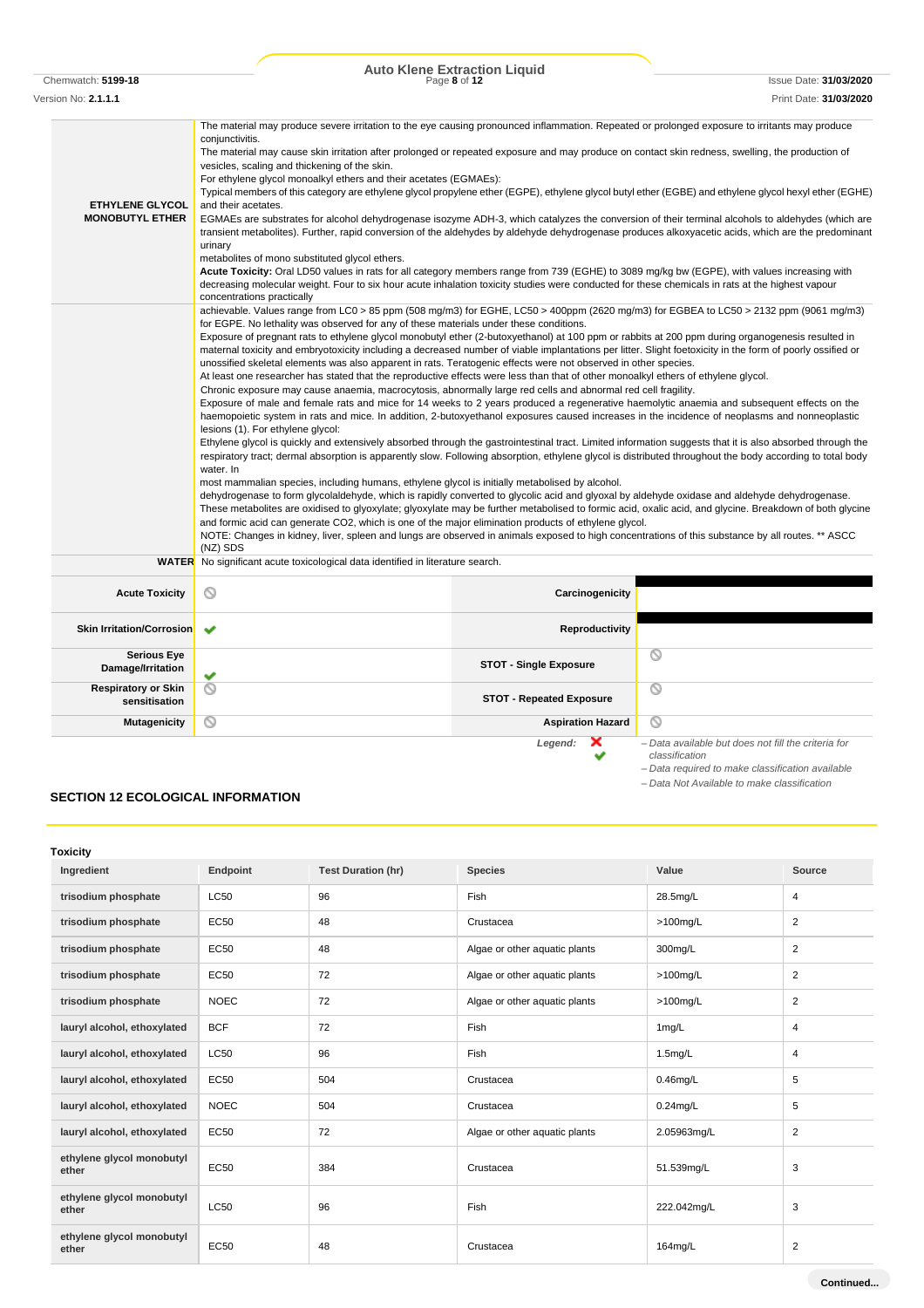# Chemwatch: **5199-18** Page **8** of **12** Issue Date: **31/03/2020 Auto Klene Extraction Liquid**

Version No: **2.1.1.1** Print Date: **31/03/2020**

| <b>ETHYLENE GLYCOL</b><br><b>MONOBUTYL ETHER</b> | The material may produce severe irritation to the eye causing pronounced inflammation. Repeated or prolonged exposure to irritants may produce<br>conjunctivitis.<br>The material may cause skin irritation after prolonged or repeated exposure and may produce on contact skin redness, swelling, the production of<br>vesicles, scaling and thickening of the skin.<br>For ethylene glycol monoalkyl ethers and their acetates (EGMAEs):<br>Typical members of this category are ethylene glycol propylene ether (EGPE), ethylene glycol butyl ether (EGBE) and ethylene glycol hexyl ether (EGHE)<br>and their acetates.<br>EGMAEs are substrates for alcohol dehydrogenase isozyme ADH-3, which catalyzes the conversion of their terminal alcohols to aldehydes (which are<br>transient metabolites). Further, rapid conversion of the aldehydes by aldehyde dehydrogenase produces alkoxyacetic acids, which are the predominant<br>urinary<br>metabolites of mono substituted glycol ethers.<br>Acute Toxicity: Oral LD50 values in rats for all category members range from 739 (EGHE) to 3089 mg/kg bw (EGPE), with values increasing with<br>decreasing molecular weight. Four to six hour acute inhalation toxicity studies were conducted for these chemicals in rats at the highest vapour<br>concentrations practically                                                                                                                                                                                                                                                                                                                                                                                                                                                                                                                                                                                                                                                                                                                                                                                                                                                                                                                                           |                                 |                                                                       |  |  |  |
|--------------------------------------------------|----------------------------------------------------------------------------------------------------------------------------------------------------------------------------------------------------------------------------------------------------------------------------------------------------------------------------------------------------------------------------------------------------------------------------------------------------------------------------------------------------------------------------------------------------------------------------------------------------------------------------------------------------------------------------------------------------------------------------------------------------------------------------------------------------------------------------------------------------------------------------------------------------------------------------------------------------------------------------------------------------------------------------------------------------------------------------------------------------------------------------------------------------------------------------------------------------------------------------------------------------------------------------------------------------------------------------------------------------------------------------------------------------------------------------------------------------------------------------------------------------------------------------------------------------------------------------------------------------------------------------------------------------------------------------------------------------------------------------------------------------------------------------------------------------------------------------------------------------------------------------------------------------------------------------------------------------------------------------------------------------------------------------------------------------------------------------------------------------------------------------------------------------------------------------------------------------------------------------------------------------------------------------------|---------------------------------|-----------------------------------------------------------------------|--|--|--|
|                                                  | achievable. Values range from LC0 > 85 ppm (508 mg/m3) for EGHE, LC50 > 400ppm (2620 mg/m3) for EGBEA to LC50 > 2132 ppm (9061 mg/m3)<br>for EGPE. No lethality was observed for any of these materials under these conditions.<br>Exposure of pregnant rats to ethylene glycol monobutyl ether (2-butoxyethanol) at 100 ppm or rabbits at 200 ppm during organogenesis resulted in<br>maternal toxicity and embryotoxicity including a decreased number of viable implantations per litter. Slight foetoxicity in the form of poorly ossified or<br>unossified skeletal elements was also apparent in rats. Teratogenic effects were not observed in other species.<br>At least one researcher has stated that the reproductive effects were less than that of other monoalkyl ethers of ethylene glycol.<br>Chronic exposure may cause anaemia, macrocytosis, abnormally large red cells and abnormal red cell fragility.<br>Exposure of male and female rats and mice for 14 weeks to 2 years produced a regenerative haemolytic anaemia and subsequent effects on the<br>haemopoietic system in rats and mice. In addition, 2-butoxyethanol exposures caused increases in the incidence of neoplasms and nonneoplastic<br>lesions (1). For ethylene glycol:<br>Ethylene glycol is quickly and extensively absorbed through the gastrointestinal tract. Limited information suggests that it is also absorbed through the<br>respiratory tract; dermal absorption is apparently slow. Following absorption, ethylene glycol is distributed throughout the body according to total body<br>water. In<br>most mammalian species, including humans, ethylene glycol is initially metabolised by alcohol.<br>dehydrogenase to form glycolaldehyde, which is rapidly converted to glycolic acid and glyoxal by aldehyde oxidase and aldehyde dehydrogenase.<br>These metabolites are oxidised to glyoxylate; glyoxylate may be further metabolised to formic acid, oxalic acid, and glycine. Breakdown of both glycine<br>and formic acid can generate CO2, which is one of the major elimination products of ethylene glycol.<br>NOTE: Changes in kidney, liver, spleen and lungs are observed in animals exposed to high concentrations of this substance by all routes. ** ASCC |                                 |                                                                       |  |  |  |
|                                                  | (NZ) SDS<br><b>WATER</b> No significant acute toxicological data identified in literature search.                                                                                                                                                                                                                                                                                                                                                                                                                                                                                                                                                                                                                                                                                                                                                                                                                                                                                                                                                                                                                                                                                                                                                                                                                                                                                                                                                                                                                                                                                                                                                                                                                                                                                                                                                                                                                                                                                                                                                                                                                                                                                                                                                                                |                                 |                                                                       |  |  |  |
| <b>Acute Toxicity</b>                            | ◎                                                                                                                                                                                                                                                                                                                                                                                                                                                                                                                                                                                                                                                                                                                                                                                                                                                                                                                                                                                                                                                                                                                                                                                                                                                                                                                                                                                                                                                                                                                                                                                                                                                                                                                                                                                                                                                                                                                                                                                                                                                                                                                                                                                                                                                                                | Carcinogenicity                 |                                                                       |  |  |  |
| <b>Skin Irritation/Corrosion</b>                 | $\checkmark$                                                                                                                                                                                                                                                                                                                                                                                                                                                                                                                                                                                                                                                                                                                                                                                                                                                                                                                                                                                                                                                                                                                                                                                                                                                                                                                                                                                                                                                                                                                                                                                                                                                                                                                                                                                                                                                                                                                                                                                                                                                                                                                                                                                                                                                                     | <b>Reproductivity</b>           |                                                                       |  |  |  |
| <b>Serious Eye</b><br>Damage/Irritation          | v                                                                                                                                                                                                                                                                                                                                                                                                                                                                                                                                                                                                                                                                                                                                                                                                                                                                                                                                                                                                                                                                                                                                                                                                                                                                                                                                                                                                                                                                                                                                                                                                                                                                                                                                                                                                                                                                                                                                                                                                                                                                                                                                                                                                                                                                                | <b>STOT - Single Exposure</b>   | ⊚                                                                     |  |  |  |
| <b>Respiratory or Skin</b><br>sensitisation      | ⊚                                                                                                                                                                                                                                                                                                                                                                                                                                                                                                                                                                                                                                                                                                                                                                                                                                                                                                                                                                                                                                                                                                                                                                                                                                                                                                                                                                                                                                                                                                                                                                                                                                                                                                                                                                                                                                                                                                                                                                                                                                                                                                                                                                                                                                                                                | <b>STOT - Repeated Exposure</b> | ◎                                                                     |  |  |  |
| <b>Mutagenicity</b>                              | ◎                                                                                                                                                                                                                                                                                                                                                                                                                                                                                                                                                                                                                                                                                                                                                                                                                                                                                                                                                                                                                                                                                                                                                                                                                                                                                                                                                                                                                                                                                                                                                                                                                                                                                                                                                                                                                                                                                                                                                                                                                                                                                                                                                                                                                                                                                | <b>Aspiration Hazard</b>        | ◎                                                                     |  |  |  |
|                                                  |                                                                                                                                                                                                                                                                                                                                                                                                                                                                                                                                                                                                                                                                                                                                                                                                                                                                                                                                                                                                                                                                                                                                                                                                                                                                                                                                                                                                                                                                                                                                                                                                                                                                                                                                                                                                                                                                                                                                                                                                                                                                                                                                                                                                                                                                                  | Legend:<br>х                    | - Data available but does not fill the criteria for<br>classification |  |  |  |

*– Data required to make classification available*

*– Data Not Available to make classification*

# **SECTION 12 ECOLOGICAL INFORMATION**

| <b>Toxicity</b>                    |             |                           |                               |                      |                |  |
|------------------------------------|-------------|---------------------------|-------------------------------|----------------------|----------------|--|
| Ingredient                         | Endpoint    | <b>Test Duration (hr)</b> | <b>Species</b>                | Value                | Source         |  |
| trisodium phosphate                | <b>LC50</b> | 96                        | Fish                          | 28.5mg/L             | 4              |  |
| trisodium phosphate                | <b>EC50</b> | 48                        | Crustacea                     | $>100$ mg/L          | $\overline{2}$ |  |
| trisodium phosphate                | <b>EC50</b> | 48                        | Algae or other aquatic plants | 300mg/L              | 2              |  |
| trisodium phosphate                | <b>EC50</b> | 72                        | Algae or other aquatic plants | $>100$ mg/L          | 2              |  |
| trisodium phosphate                | <b>NOEC</b> | 72                        | Algae or other aquatic plants | $>100$ mg/L          | 2              |  |
| lauryl alcohol, ethoxylated        | <b>BCF</b>  | 72                        | Fish                          | 1mg/L                | $\overline{4}$ |  |
| lauryl alcohol, ethoxylated        | <b>LC50</b> | 96                        | <b>Fish</b>                   | 1.5 <sub>m</sub> g/L | $\overline{4}$ |  |
| lauryl alcohol, ethoxylated        | <b>EC50</b> | 504                       | Crustacea                     | $0.46$ mg/L          | 5              |  |
| lauryl alcohol, ethoxylated        | <b>NOEC</b> | 504                       | Crustacea                     | $0.24$ mg/L          | 5              |  |
| lauryl alcohol, ethoxylated        | EC50        | 72                        | Algae or other aquatic plants | 2.05963mg/L          | 2              |  |
| ethylene glycol monobutyl<br>ether | <b>EC50</b> | 384                       | Crustacea                     | 51.539mg/L           | 3              |  |
| ethylene glycol monobutyl<br>ether | <b>LC50</b> | 96                        | Fish                          | 222.042mg/L          | 3              |  |
| ethylene glycol monobutyl<br>ether | EC50        | 48                        | Crustacea                     | 164mg/L              | $\overline{2}$ |  |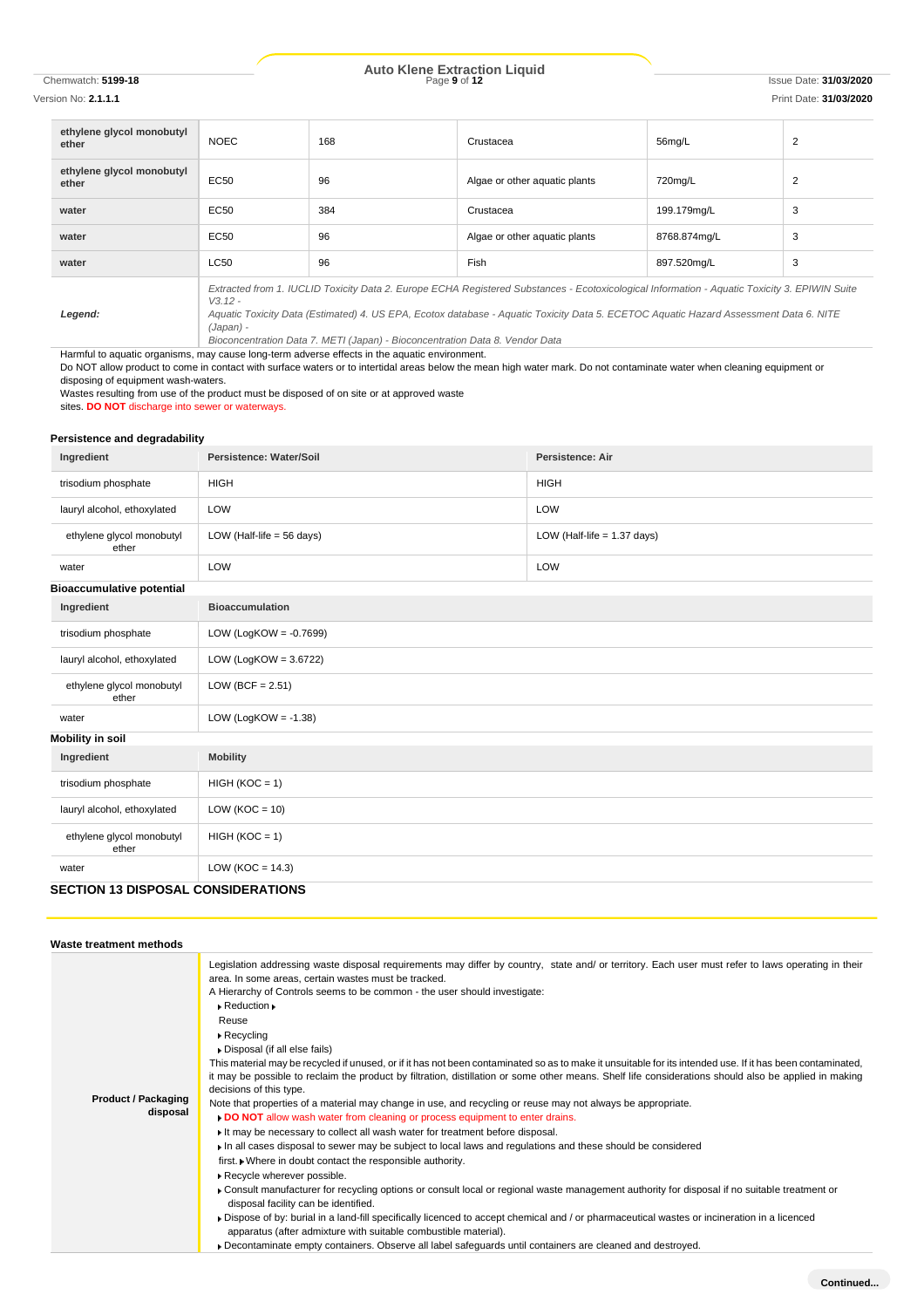# Chemwatch: **5199-18** Page **9** of **12** Issue Date: **31/03/2020 Auto Klene Extraction Liquid**

| ethylene glycol monobutyl<br>ether | <b>NOEC</b>                                                                                                                                                                                                                                                                                                      | 168 | Crustacea                     | 56mg/L       | $\overline{2}$ |  |
|------------------------------------|------------------------------------------------------------------------------------------------------------------------------------------------------------------------------------------------------------------------------------------------------------------------------------------------------------------|-----|-------------------------------|--------------|----------------|--|
| ethylene glycol monobutyl<br>ether | EC50                                                                                                                                                                                                                                                                                                             | 96  | Algae or other aquatic plants | 720mg/L      | $\overline{2}$ |  |
| water                              | EC50                                                                                                                                                                                                                                                                                                             | 384 | Crustacea                     | 199.179mg/L  | 3              |  |
| water                              | EC50                                                                                                                                                                                                                                                                                                             | 96  | Algae or other aguatic plants | 8768.874mg/L | 3              |  |
| water                              | <b>LC50</b>                                                                                                                                                                                                                                                                                                      | 96  | <b>Fish</b>                   | 897.520mg/L  | 3              |  |
| Legend:                            | Extracted from 1. IUCLID Toxicity Data 2. Europe ECHA Registered Substances - Ecotoxicological Information - Aquatic Toxicity 3. EPIWIN Suite<br>$V3.12 -$<br>Aquatic Toxicity Data (Estimated) 4. US EPA, Ecotox database - Aquatic Toxicity Data 5. ECETOC Aquatic Hazard Assessment Data 6. NITE<br>(Japan) - |     |                               |              |                |  |

*Bioconcentration Data 7. METI (Japan) - Bioconcentration Data 8. Vendor Data*

Harmful to aquatic organisms, may cause long-term adverse effects in the aquatic environment.

Do NOT allow product to come in contact with surface waters or to intertidal areas below the mean high water mark. Do not contaminate water when cleaning equipment or disposing of equipment wash-waters.

Wastes resulting from use of the product must be disposed of on site or at approved waste

sites. **DO NOT** discharge into sewer or waterways.

#### **Persistence and degradability**

| Ingredient                                | Persistence: Water/Soil              | <b>Persistence: Air</b>       |  |  |
|-------------------------------------------|--------------------------------------|-------------------------------|--|--|
| trisodium phosphate                       | <b>HIGH</b>                          | <b>HIGH</b>                   |  |  |
| lauryl alcohol, ethoxylated               | LOW                                  | LOW                           |  |  |
| ethylene glycol monobutyl<br>ether        | LOW (Half-life = $56 \text{ days}$ ) | LOW (Half-life $= 1.37$ days) |  |  |
| water                                     | LOW                                  | LOW                           |  |  |
| <b>Bioaccumulative potential</b>          |                                      |                               |  |  |
| Ingredient                                | <b>Bioaccumulation</b>               |                               |  |  |
| trisodium phosphate                       | LOW (LogKOW = $-0.7699$ )            |                               |  |  |
| lauryl alcohol, ethoxylated               | LOW (LogKOW = $3.6722$ )             |                               |  |  |
| ethylene glycol monobutyl<br>ether        | LOW (BCF = $2.51$ )                  |                               |  |  |
| water                                     | LOW (LogKOW = $-1.38$ )              |                               |  |  |
| <b>Mobility in soil</b>                   |                                      |                               |  |  |
| Ingredient                                | <b>Mobility</b>                      |                               |  |  |
| trisodium phosphate                       | $HIGH (KOC = 1)$                     |                               |  |  |
| lauryl alcohol, ethoxylated               | LOW ( $KOC = 10$ )                   |                               |  |  |
| ethylene glycol monobutyl<br>ether        | $HIGH (KOC = 1)$                     |                               |  |  |
| water                                     | LOW ( $KOC = 14.3$ )                 |                               |  |  |
| <b>SECTION 13 DISPOSAL CONSIDERATIONS</b> |                                      |                               |  |  |

**Waste treatment methods Product / Packaging disposal** Legislation addressing waste disposal requirements may differ by country, state and/ or territory. Each user must refer to laws operating in their area. In some areas, certain wastes must be tracked. A Hierarchy of Controls seems to be common - the user should investigate: Reduction Reuse Recycling Disposal (if all else fails) This material may be recycled if unused, or if it has not been contaminated so as to make it unsuitable for its intended use. If it has been contaminated, it may be possible to reclaim the product by filtration, distillation or some other means. Shelf life considerations should also be applied in making decisions of this type. Note that properties of a material may change in use, and recycling or reuse may not always be appropriate. **DO NOT** allow wash water from cleaning or process equipment to enter drains. It may be necessary to collect all wash water for treatment before disposal. In all cases disposal to sewer may be subject to local laws and regulations and these should be considered first. Where in doubt contact the responsible authority. Recycle wherever possible. Consult manufacturer for recycling options or consult local or regional waste management authority for disposal if no suitable treatment or disposal facility can be identified. Dispose of by: burial in a land-fill specifically licenced to accept chemical and / or pharmaceutical wastes or incineration in a licenced apparatus (after admixture with suitable combustible material). Decontaminate empty containers. Observe all label safeguards until containers are cleaned and destroyed.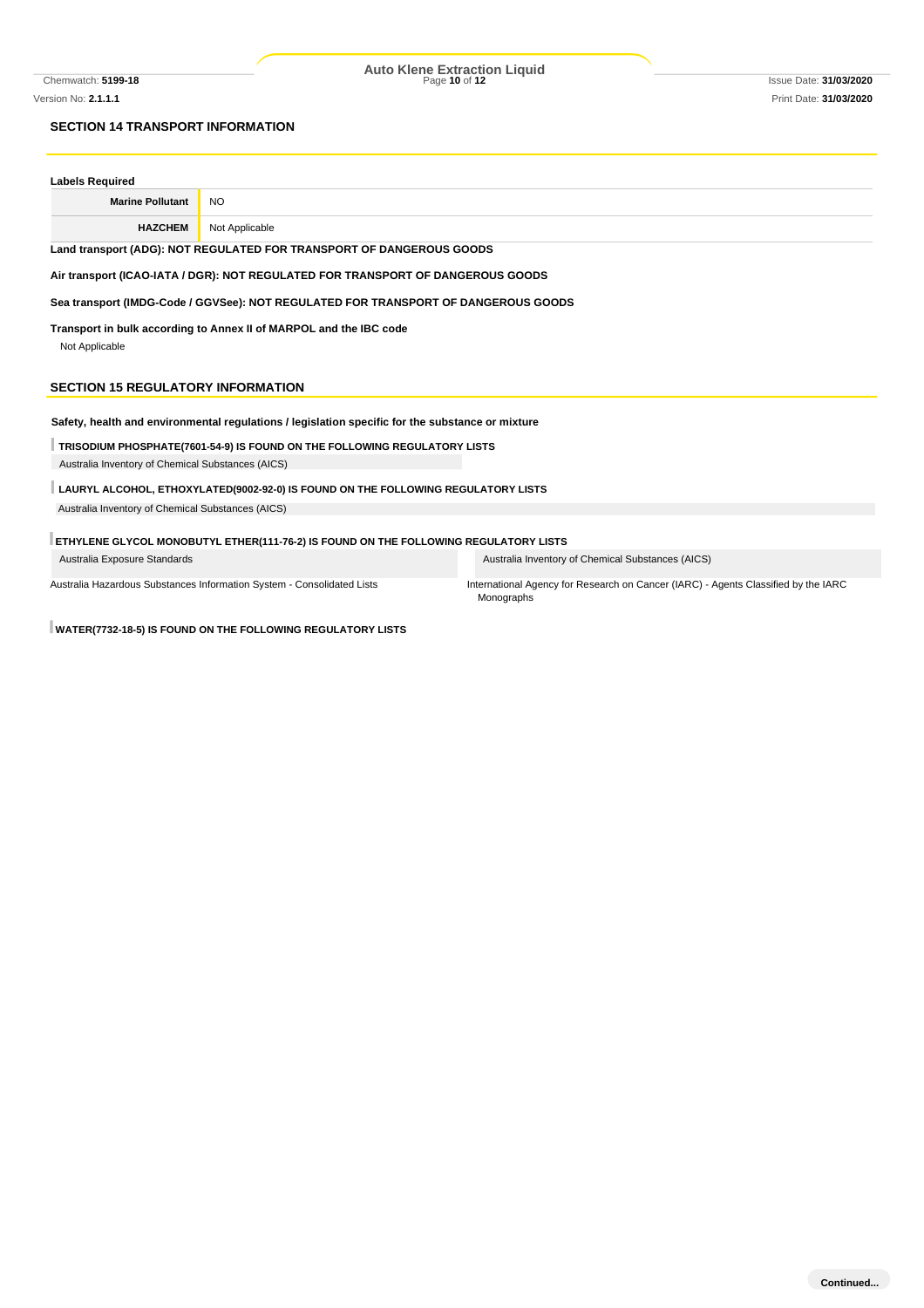Chemwatch: **5199-18** Page **10** of **12** Issue Date: **31/03/2020 Auto Klene Extraction Liquid**

## **SECTION 14 TRANSPORT INFORMATION**

| <b>Labels Required</b>                                                                           |                                                                           |                                                                                                  |  |  |
|--------------------------------------------------------------------------------------------------|---------------------------------------------------------------------------|--------------------------------------------------------------------------------------------------|--|--|
| <b>Marine Pollutant</b>                                                                          | <b>NO</b>                                                                 |                                                                                                  |  |  |
| <b>HAZCHEM</b>                                                                                   | Not Applicable                                                            |                                                                                                  |  |  |
| Land transport (ADG): NOT REGULATED FOR TRANSPORT OF DANGEROUS GOODS                             |                                                                           |                                                                                                  |  |  |
| Air transport (ICAO-IATA / DGR): NOT REGULATED FOR TRANSPORT OF DANGEROUS GOODS                  |                                                                           |                                                                                                  |  |  |
| Sea transport (IMDG-Code / GGVSee): NOT REGULATED FOR TRANSPORT OF DANGEROUS GOODS               |                                                                           |                                                                                                  |  |  |
| Transport in bulk according to Annex II of MARPOL and the IBC code<br>Not Applicable             |                                                                           |                                                                                                  |  |  |
| <b>SECTION 15 REGULATORY INFORMATION</b>                                                         |                                                                           |                                                                                                  |  |  |
| Safety, health and environmental regulations / legislation specific for the substance or mixture |                                                                           |                                                                                                  |  |  |
|                                                                                                  | TRISODIUM PHOSPHATE(7601-54-9) IS FOUND ON THE FOLLOWING REGULATORY LISTS |                                                                                                  |  |  |
| Australia Inventory of Chemical Substances (AICS)                                                |                                                                           |                                                                                                  |  |  |
| LAURYL ALCOHOL, ETHOXYLATED(9002-92-0) IS FOUND ON THE FOLLOWING REGULATORY LISTS                |                                                                           |                                                                                                  |  |  |
| Australia Inventory of Chemical Substances (AICS)                                                |                                                                           |                                                                                                  |  |  |
|                                                                                                  |                                                                           |                                                                                                  |  |  |
| ETHYLENE GLYCOL MONOBUTYL ETHER(111-76-2) IS FOUND ON THE FOLLOWING REGULATORY LISTS             |                                                                           |                                                                                                  |  |  |
| Australia Exposure Standards                                                                     |                                                                           | Australia Inventory of Chemical Substances (AICS)                                                |  |  |
|                                                                                                  | Australia Hazardous Substances Information System - Consolidated Lists    | International Agency for Research on Cancer (IARC) - Agents Classified by the IARC<br>Monographs |  |  |

**WATER(7732-18-5) IS FOUND ON THE FOLLOWING REGULATORY LISTS**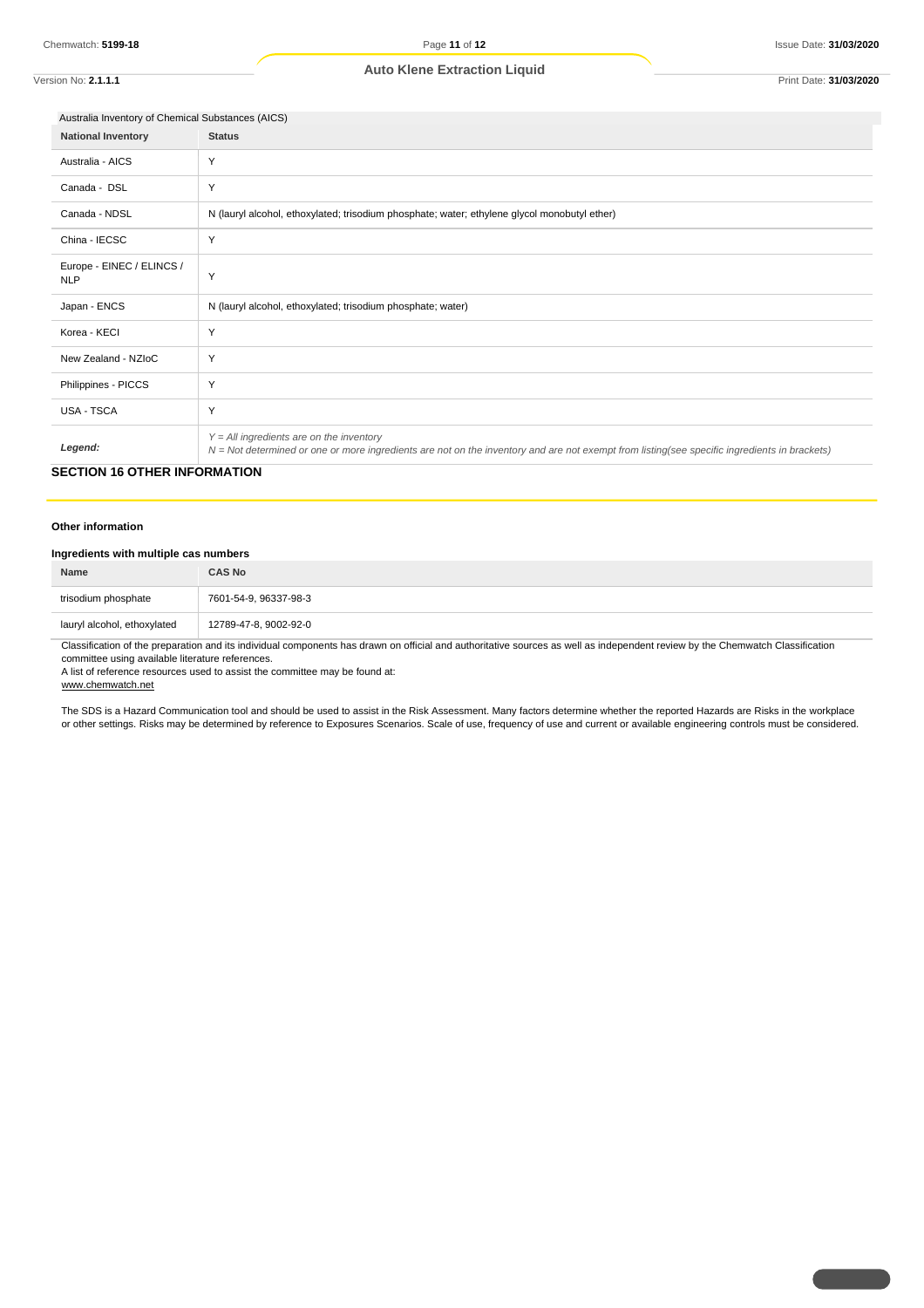### **Auto Klene Extraction Liquid**

Version No: **2.1.1.1** Print Date: **31/03/2020**

| Australia Inventory of Chemical Substances (AICS) |                                                                                                                                                                                              |  |
|---------------------------------------------------|----------------------------------------------------------------------------------------------------------------------------------------------------------------------------------------------|--|
| <b>National Inventory</b>                         | <b>Status</b>                                                                                                                                                                                |  |
| Australia - AICS                                  | Y                                                                                                                                                                                            |  |
| Canada - DSL                                      | Y                                                                                                                                                                                            |  |
| Canada - NDSL                                     | N (lauryl alcohol, ethoxylated; trisodium phosphate; water; ethylene glycol monobutyl ether)                                                                                                 |  |
| China - IECSC                                     | Y                                                                                                                                                                                            |  |
| Europe - EINEC / ELINCS /<br><b>NLP</b>           | Y                                                                                                                                                                                            |  |
| Japan - ENCS                                      | N (lauryl alcohol, ethoxylated; trisodium phosphate; water)                                                                                                                                  |  |
| Korea - KECI                                      | Y                                                                                                                                                                                            |  |
| New Zealand - NZIoC                               | Y                                                                                                                                                                                            |  |
| Philippines - PICCS                               | Y                                                                                                                                                                                            |  |
| <b>USA - TSCA</b>                                 | Y                                                                                                                                                                                            |  |
| Legend:                                           | $Y = All$ ingredients are on the inventory<br>$N = Not$ determined or one or more ingredients are not on the inventory and are not exempt from listing(see specific ingredients in brackets) |  |

## **SECTION 16 OTHER INFORMATION**

#### **Other information**

#### **Ingredients with multiple cas numbers**

| <b>Name</b>                 | <b>CAS No</b>           |
|-----------------------------|-------------------------|
| trisodium phosphate         | 7601-54-9, 96337-98-3   |
| lauryl alcohol, ethoxylated | 12789-47-8, 9002-92-0   |
| $\sim$ $\sim$               | .<br>.<br>$\cdots$<br>. |

Classification of the preparation and its individual components has drawn on official and authoritative sources as well as independent review by the Chemwatch Classification

committee using available literature references.

A list of reference resources used to assist the committee may be found at:

www.chemwatch.net

The SDS is a Hazard Communication tool and should be used to assist in the Risk Assessment. Many factors determine whether the reported Hazards are Risks in the workplace or other settings. Risks may be determined by reference to Exposures Scenarios. Scale of use, frequency of use and current or available engineering controls must be considered.